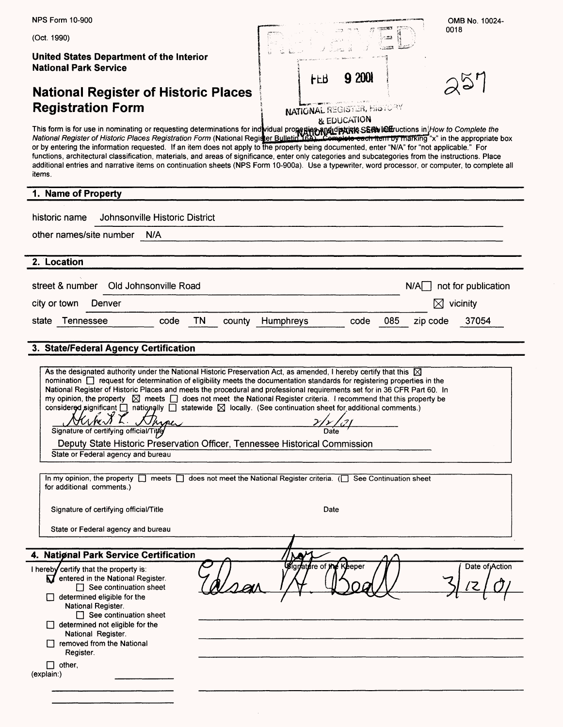| <b>NPS Form 10-900</b>                                                                                                                                                                                                                                                                                                                                                                                                                                                                                                                                                                                                                                                                                                                                                                                                                                             | OMB No. 10024-                                                                                                                                                                                                                                                                                                                                                                                                                                                                                                                                                                                                                                                                                        |  |  |  |  |  |
|--------------------------------------------------------------------------------------------------------------------------------------------------------------------------------------------------------------------------------------------------------------------------------------------------------------------------------------------------------------------------------------------------------------------------------------------------------------------------------------------------------------------------------------------------------------------------------------------------------------------------------------------------------------------------------------------------------------------------------------------------------------------------------------------------------------------------------------------------------------------|-------------------------------------------------------------------------------------------------------------------------------------------------------------------------------------------------------------------------------------------------------------------------------------------------------------------------------------------------------------------------------------------------------------------------------------------------------------------------------------------------------------------------------------------------------------------------------------------------------------------------------------------------------------------------------------------------------|--|--|--|--|--|
| (Oct. 1990)                                                                                                                                                                                                                                                                                                                                                                                                                                                                                                                                                                                                                                                                                                                                                                                                                                                        | 0018<br>ುವಡ                                                                                                                                                                                                                                                                                                                                                                                                                                                                                                                                                                                                                                                                                           |  |  |  |  |  |
| United States Department of the Interior<br><b>National Park Service</b>                                                                                                                                                                                                                                                                                                                                                                                                                                                                                                                                                                                                                                                                                                                                                                                           | 9 2001<br><b>FFR</b>                                                                                                                                                                                                                                                                                                                                                                                                                                                                                                                                                                                                                                                                                  |  |  |  |  |  |
| <b>National Register of Historic Places</b>                                                                                                                                                                                                                                                                                                                                                                                                                                                                                                                                                                                                                                                                                                                                                                                                                        | $\lambda$ 57                                                                                                                                                                                                                                                                                                                                                                                                                                                                                                                                                                                                                                                                                          |  |  |  |  |  |
| <b>Registration Form</b>                                                                                                                                                                                                                                                                                                                                                                                                                                                                                                                                                                                                                                                                                                                                                                                                                                           | <b>NATIONAL REGISTER, HISTORY</b><br>& EDUCATION                                                                                                                                                                                                                                                                                                                                                                                                                                                                                                                                                                                                                                                      |  |  |  |  |  |
| <i>items.</i>                                                                                                                                                                                                                                                                                                                                                                                                                                                                                                                                                                                                                                                                                                                                                                                                                                                      | This form is for use in nominating or requesting determinations for ind <mark>widual propertion and distructions in H</mark> ow to Complete the National Register of Historic Places Registration Form (National Register Bulletin, Ga.). C<br>or by entering the information requested. If an item does not apply to the property being documented, enter "N/A" for "not applicable." For<br>functions, architectural classification, materials, and areas of significance, enter only categories and subcategories from the instructions. Place<br>additional entries and narrative items on continuation sheets (NPS Form 10-900a). Use a typewriter, word processor, or computer, to complete all |  |  |  |  |  |
| 1. Name of Property                                                                                                                                                                                                                                                                                                                                                                                                                                                                                                                                                                                                                                                                                                                                                                                                                                                |                                                                                                                                                                                                                                                                                                                                                                                                                                                                                                                                                                                                                                                                                                       |  |  |  |  |  |
| Johnsonville Historic District<br>historic name                                                                                                                                                                                                                                                                                                                                                                                                                                                                                                                                                                                                                                                                                                                                                                                                                    |                                                                                                                                                                                                                                                                                                                                                                                                                                                                                                                                                                                                                                                                                                       |  |  |  |  |  |
| other names/site number<br>N/A                                                                                                                                                                                                                                                                                                                                                                                                                                                                                                                                                                                                                                                                                                                                                                                                                                     |                                                                                                                                                                                                                                                                                                                                                                                                                                                                                                                                                                                                                                                                                                       |  |  |  |  |  |
| 2. Location                                                                                                                                                                                                                                                                                                                                                                                                                                                                                                                                                                                                                                                                                                                                                                                                                                                        |                                                                                                                                                                                                                                                                                                                                                                                                                                                                                                                                                                                                                                                                                                       |  |  |  |  |  |
|                                                                                                                                                                                                                                                                                                                                                                                                                                                                                                                                                                                                                                                                                                                                                                                                                                                                    |                                                                                                                                                                                                                                                                                                                                                                                                                                                                                                                                                                                                                                                                                                       |  |  |  |  |  |
| street & number<br>Old Johnsonville Road                                                                                                                                                                                                                                                                                                                                                                                                                                                                                                                                                                                                                                                                                                                                                                                                                           | not for publication<br>N/A                                                                                                                                                                                                                                                                                                                                                                                                                                                                                                                                                                                                                                                                            |  |  |  |  |  |
| city or town<br>Denver                                                                                                                                                                                                                                                                                                                                                                                                                                                                                                                                                                                                                                                                                                                                                                                                                                             | ⋈<br>vicinity                                                                                                                                                                                                                                                                                                                                                                                                                                                                                                                                                                                                                                                                                         |  |  |  |  |  |
| TN<br>state Tennessee<br>code<br>county                                                                                                                                                                                                                                                                                                                                                                                                                                                                                                                                                                                                                                                                                                                                                                                                                            | 37054<br>Humphreys<br>085<br>code<br>zip code                                                                                                                                                                                                                                                                                                                                                                                                                                                                                                                                                                                                                                                         |  |  |  |  |  |
| 3. State/Federal Agency Certification                                                                                                                                                                                                                                                                                                                                                                                                                                                                                                                                                                                                                                                                                                                                                                                                                              |                                                                                                                                                                                                                                                                                                                                                                                                                                                                                                                                                                                                                                                                                                       |  |  |  |  |  |
| As the designated authority under the National Historic Preservation Act, as amended, I hereby certify that this $\boxtimes$<br>nomination nequest for determination of eligibility meets the documentation standards for registering properties in the<br>National Register of Historic Places and meets the procedural and professional requirements set for in 36 CFR Part 60. In<br>my opinion, the property $\boxtimes$ meets $\Box$ does not meet the National Register criteria. I recommend that this property be<br>considered significant $\Box$ nationally $\Box$ statewide $\boxtimes$ locally. (See continuation sheet for additional comments.)<br>Herbert L. Sthyper<br>$2/\sqrt{2}$<br>Signature of certifying official/Title<br>Deputy State Historic Preservation Officer, Tennessee Historical Commission<br>State or Federal agency and bureau |                                                                                                                                                                                                                                                                                                                                                                                                                                                                                                                                                                                                                                                                                                       |  |  |  |  |  |
| In my opinion, the property $\Box$ meets $\Box$ does not meet the National Register criteria. ( $\Box$ See Continuation sheet<br>for additional comments.)                                                                                                                                                                                                                                                                                                                                                                                                                                                                                                                                                                                                                                                                                                         |                                                                                                                                                                                                                                                                                                                                                                                                                                                                                                                                                                                                                                                                                                       |  |  |  |  |  |
| Signature of certifying official/Title                                                                                                                                                                                                                                                                                                                                                                                                                                                                                                                                                                                                                                                                                                                                                                                                                             | Date                                                                                                                                                                                                                                                                                                                                                                                                                                                                                                                                                                                                                                                                                                  |  |  |  |  |  |
| State or Federal agency and bureau                                                                                                                                                                                                                                                                                                                                                                                                                                                                                                                                                                                                                                                                                                                                                                                                                                 |                                                                                                                                                                                                                                                                                                                                                                                                                                                                                                                                                                                                                                                                                                       |  |  |  |  |  |
| 4. Natiønal Park Service Certification                                                                                                                                                                                                                                                                                                                                                                                                                                                                                                                                                                                                                                                                                                                                                                                                                             |                                                                                                                                                                                                                                                                                                                                                                                                                                                                                                                                                                                                                                                                                                       |  |  |  |  |  |
| I hereby certify that the property is:<br>$\sum$ entered in the National Register.<br>$\Box$ See continuation sheet<br>determined eligible for the<br>National Register.<br>$\Box$ See continuation sheet<br>$\Box$ determined not eligible for the<br>National Register.<br>removed from the National<br>Register.                                                                                                                                                                                                                                                                                                                                                                                                                                                                                                                                                | Ø≸ign atnire of the Keeper<br>Date of Action                                                                                                                                                                                                                                                                                                                                                                                                                                                                                                                                                                                                                                                          |  |  |  |  |  |
| $\Box$ other,<br>(explain:)                                                                                                                                                                                                                                                                                                                                                                                                                                                                                                                                                                                                                                                                                                                                                                                                                                        |                                                                                                                                                                                                                                                                                                                                                                                                                                                                                                                                                                                                                                                                                                       |  |  |  |  |  |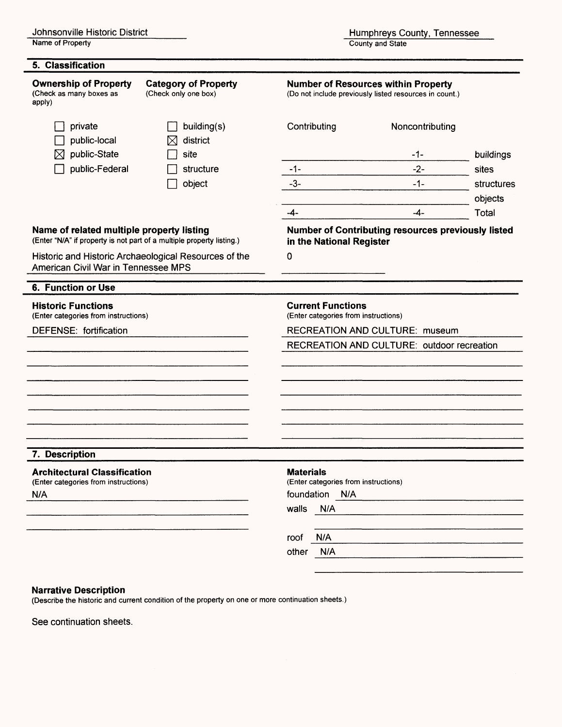Name of Property

| 5. Classification                                                                                                  |                                                     |                                                                                                                  |                 |            |  |  |
|--------------------------------------------------------------------------------------------------------------------|-----------------------------------------------------|------------------------------------------------------------------------------------------------------------------|-----------------|------------|--|--|
| <b>Ownership of Property</b><br>(Check as many boxes as<br>apply)                                                  | <b>Category of Property</b><br>(Check only one box) | <b>Number of Resources within Property</b><br>(Do not include previously listed resources in count.)             |                 |            |  |  |
| private<br>public-local                                                                                            | building(s)<br>district                             | Contributing                                                                                                     | Noncontributing |            |  |  |
| public-State<br>⋈                                                                                                  | site                                                |                                                                                                                  | -1-             | buildings  |  |  |
| public-Federal                                                                                                     | structure                                           | $-1-$                                                                                                            | $-2-$           | sites      |  |  |
|                                                                                                                    | object                                              | $-3-$                                                                                                            | $-1-$           | structures |  |  |
|                                                                                                                    |                                                     |                                                                                                                  |                 | objects    |  |  |
| Name of related multiple property listing<br>(Enter "N/A" if property is not part of a multiple property listing.) |                                                     | $-4-$<br>Total<br>$-4-$<br><b>Number of Contributing resources previously listed</b><br>in the National Register |                 |            |  |  |
| Historic and Historic Archaeological Resources of the<br>American Civil War in Tennessee MPS                       |                                                     | 0                                                                                                                |                 |            |  |  |
| 6. Function or Use                                                                                                 |                                                     |                                                                                                                  |                 |            |  |  |
| <b>Historic Functions</b><br>(Enter categories from instructions)                                                  |                                                     | <b>Current Functions</b><br>(Enter categories from instructions)                                                 |                 |            |  |  |
| DEFENSE: fortification                                                                                             |                                                     | <b>RECREATION AND CULTURE: museum</b>                                                                            |                 |            |  |  |
|                                                                                                                    |                                                     | RECREATION AND CULTURE: outdoor recreation                                                                       |                 |            |  |  |
|                                                                                                                    |                                                     |                                                                                                                  |                 |            |  |  |
|                                                                                                                    |                                                     |                                                                                                                  |                 |            |  |  |
| 7. Description                                                                                                     |                                                     |                                                                                                                  |                 |            |  |  |
| <b>Architectural Classification</b><br>(Enter categories from instructions)                                        |                                                     | <b>Materials</b><br>(Enter categories from instructions)                                                         |                 |            |  |  |
| N/A                                                                                                                |                                                     | foundation N/A                                                                                                   |                 |            |  |  |
|                                                                                                                    |                                                     | walls<br>N/A                                                                                                     |                 |            |  |  |
|                                                                                                                    |                                                     | N/A<br>roof                                                                                                      |                 |            |  |  |
|                                                                                                                    |                                                     | N/A<br>other                                                                                                     |                 |            |  |  |

#### **Narrative Description**

(Describe the historic and current condition of the property on one or more continuation sheets.)

See continuation sheets.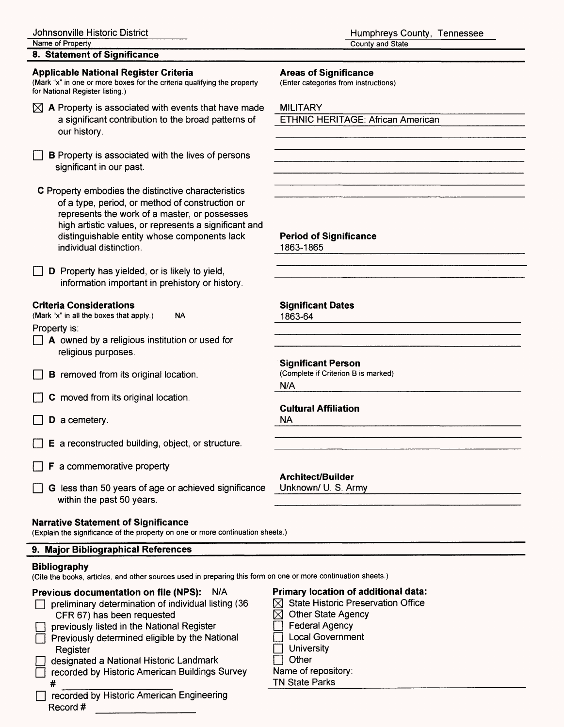County and State

| 8. Statement of Significance                                                                                                                                                                                                                                                                |                                                                                                                                                                                                       |  |  |  |  |  |
|---------------------------------------------------------------------------------------------------------------------------------------------------------------------------------------------------------------------------------------------------------------------------------------------|-------------------------------------------------------------------------------------------------------------------------------------------------------------------------------------------------------|--|--|--|--|--|
| <b>Applicable National Register Criteria</b><br>(Mark "x" in one or more boxes for the criteria qualifying the property<br>for National Register listing.)                                                                                                                                  | <b>Areas of Significance</b><br>(Enter categories from instructions)                                                                                                                                  |  |  |  |  |  |
| $\boxtimes$ A Property is associated with events that have made<br>a significant contribution to the broad patterns of<br>our history.                                                                                                                                                      | <b>MILITARY</b><br><b>ETHNIC HERITAGE: African American</b>                                                                                                                                           |  |  |  |  |  |
| <b>B</b> Property is associated with the lives of persons<br>significant in our past.                                                                                                                                                                                                       |                                                                                                                                                                                                       |  |  |  |  |  |
| C Property embodies the distinctive characteristics<br>of a type, period, or method of construction or<br>represents the work of a master, or possesses<br>high artistic values, or represents a significant and<br>distinguishable entity whose components lack<br>individual distinction. | <b>Period of Significance</b><br>1863-1865                                                                                                                                                            |  |  |  |  |  |
| D Property has yielded, or is likely to yield,<br>information important in prehistory or history.                                                                                                                                                                                           |                                                                                                                                                                                                       |  |  |  |  |  |
| <b>Criteria Considerations</b><br>(Mark "x" in all the boxes that apply.)<br><b>NA</b>                                                                                                                                                                                                      | <b>Significant Dates</b><br>1863-64                                                                                                                                                                   |  |  |  |  |  |
| Property is:<br>$\Box$ A owned by a religious institution or used for<br>religious purposes.                                                                                                                                                                                                |                                                                                                                                                                                                       |  |  |  |  |  |
| <b>B</b> removed from its original location.                                                                                                                                                                                                                                                | <b>Significant Person</b><br>(Complete if Criterion B is marked)<br>N/A                                                                                                                               |  |  |  |  |  |
| C moved from its original location.                                                                                                                                                                                                                                                         |                                                                                                                                                                                                       |  |  |  |  |  |
| D a cemetery.                                                                                                                                                                                                                                                                               | <b>Cultural Affiliation</b><br><b>NA</b>                                                                                                                                                              |  |  |  |  |  |
| E a reconstructed building, object, or structure.                                                                                                                                                                                                                                           |                                                                                                                                                                                                       |  |  |  |  |  |
| F a commemorative property                                                                                                                                                                                                                                                                  | Architect/Builder                                                                                                                                                                                     |  |  |  |  |  |
| G less than 50 years of age or achieved significance<br>within the past 50 years.                                                                                                                                                                                                           | Unknown/ U. S. Army                                                                                                                                                                                   |  |  |  |  |  |
| <b>Narrative Statement of Significance</b><br>(Explain the significance of the property on one or more continuation sheets.)                                                                                                                                                                |                                                                                                                                                                                                       |  |  |  |  |  |
| 9. Major Bibliographical References                                                                                                                                                                                                                                                         |                                                                                                                                                                                                       |  |  |  |  |  |
| <b>Bibliography</b><br>(Cite the books, articles, and other sources used in preparing this form on one or more continuation sheets.)                                                                                                                                                        |                                                                                                                                                                                                       |  |  |  |  |  |
| <b>Previous documentation on file (NPS):</b><br>N/A<br>preliminary determination of individual listing (36<br>CFR 67) has been requested<br>previously listed in the National Register<br>Previously determined eligible by the National<br>Register<br>tional Uistaria Landmark            | Primary location of additional data:<br><b>State Historic Preservation Office</b><br><b>Other State Agency</b><br><b>Federal Agency</b><br><b>Local Government</b><br>University<br>Q <sub>thor</sub> |  |  |  |  |  |

 $\Box$  designated a National Historic Landmark O recorded by Historic American Buildings Survey

# \_\_\_\_\_\_\_\_\_\_\_\_\_\_ **Q recorded by Historic American Engineering** Record #

- $\Box$  Other
- Name of repository:
- TN State Parks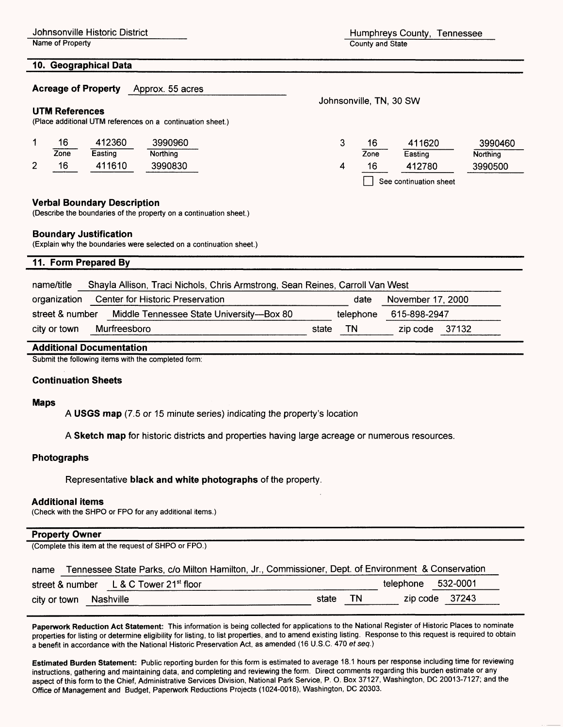Name of Property **County and State** 

Johnsonville Historic District **Humphreys County, Tennessee** 

Johnsonville, TN, 30 SW

#### 10. Geographical Data

#### Acreage of Property Approx. 55 acres

#### UTM References

(Place additional UTM references on a continuation sheet.)

|                 | 16   | 412360  | 3990960  | 16   | 411620                 | 3990460         |
|-----------------|------|---------|----------|------|------------------------|-----------------|
|                 | Zone | Easting | Northing | Zone | Easting                | <b>Northing</b> |
| $\sqrt{2}$<br>▴ | 16   | 411610  | 3990830  | 16   | 412780                 | 3990500         |
|                 |      |         |          |      | See continuation sheet |                 |

#### **Verbal Boundary Description**

(Describe the boundaries of the property on a continuation sheet.)

#### **Boundary Justification**

(Explain why the boundaries were selected on a continuation sheet.)

#### **11. Form Prepared By**

| Shayla Allison, Traci Nichols, Chris Armstrong, Sean Reines, Carroll Van West<br>name/title |                                          |                    |                  |  |  |  |
|---------------------------------------------------------------------------------------------|------------------------------------------|--------------------|------------------|--|--|--|
| organization Center for Historic Preservation<br>November 17, 2000<br>date                  |                                          |                    |                  |  |  |  |
| street & number                                                                             | Middle Tennessee State University-Box 80 | telephone          | 615-898-2947     |  |  |  |
| city or town                                                                                | Murfreesboro                             | <b>TN</b><br>state | $zip code$ 37132 |  |  |  |

#### **Additional Documentation**

Submit the following items with the completed form:

#### **Continuation Sheets**

#### **Maps**

**A USGS map** (7.5 or 15 minute series) indicating the property's location

**A Sketch map** for historic districts and properties having large acreage or numerous resources.

#### **Photographs**

Representative **black and white photographs** of the property.

#### **Additional items**

(Check with the SHPO or FPO for any additional items.)

#### **Property Owner\_\_\_\_\_\_\_\_\_\_\_**

(Complete this item at the request of SHPO or FPO.)

| name         |           | Tennessee State Parks, c/o Milton Hamilton, Jr., Commissioner, Dept. of Environment & Conservation |       |    |                    |                |
|--------------|-----------|----------------------------------------------------------------------------------------------------|-------|----|--------------------|----------------|
|              |           | street & number L & C Tower 21 <sup>st</sup> floor                                                 |       |    | telephone 532-0001 |                |
| city or town | Nashville |                                                                                                    | state | ΤN |                    | zip code 37243 |

**Paperwork Reduction Act Statement:** This information is being collected for applications to the National Register of Historic Places to nominate properties for listing or determine eligibility for listing, to list properties, and to amend existing listing. Response to this request is required to obtain a benefit in accordance with the National Historic Preservation Act, as amended (16 U.S.C. 470 et seq.)

**Estimated Burden Statement:** Public reporting burden for this form is estimated to average 18.1 hours per response including time for reviewing instructions, gathering and maintaining data, and completing and reviewing the form. Direct comments regarding this burden estimate or any aspect of this form to the Chief, Administrative Services Division, National Park Service, P. O. Box 37127, Washington, DC 20013-7127; and the Office of Management and Budget, Paperwork Reductions Projects (1024-0018), Washington, DC 20303.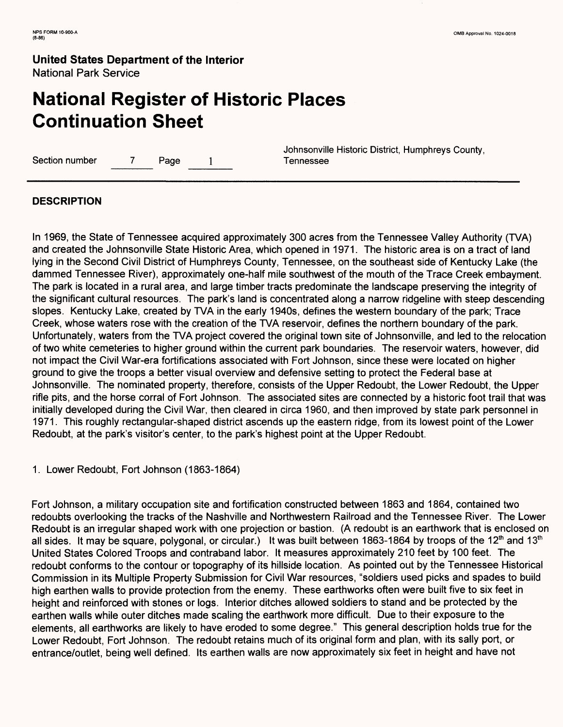# **National Register of Historic Places Continuation Sheet**

Section number 7 Page 1 Tennessee

Johnsonville Historic District, Humphreys County,

### **DESCRIPTION**

In 1969, the State of Tennessee acquired approximately 300 acres from the Tennessee Valley Authority (TVA) and created the Johnsonville State Historic Area, which opened in 1971. The historic area is on a tract of land lying in the Second Civil District of Humphreys County, Tennessee, on the southeast side of Kentucky Lake (the dammed Tennessee River), approximately one-half mile southwest of the mouth of the Trace Creek embayment. The park is located in a rural area, and large timber tracts predominate the landscape preserving the integrity of the significant cultural resources. The park's land is concentrated along a narrow ridgeline with steep descending slopes. Kentucky Lake, created by TVA in the early 1940s, defines the western boundary of the park; Trace Creek, whose waters rose with the creation of the TVA reservoir, defines the northern boundary of the park. Unfortunately, waters from the TVA project covered the original town site of Johnsonville, and led to the relocation of two white cemeteries to higher ground within the current park boundaries. The reservoir waters, however, did not impact the Civil War-era fortifications associated with Fort Johnson, since these were located on higher ground to give the troops a better visual overview and defensive setting to protect the Federal base at Johnsonville. The nominated property, therefore, consists of the Upper Redoubt, the Lower Redoubt, the Upper rifle pits, and the horse corral of Fort Johnson. The associated sites are connected by a historic foot trail that was initially developed during the Civil War, then cleared in circa 1960, and then improved by state park personnel in 1971. This roughly rectangular-shaped district ascends up the eastern ridge, from its lowest point of the Lower Redoubt, at the park's visitor's center, to the park's highest point at the Upper Redoubt.

1. Lower Redoubt, Fort Johnson (1863-1864)

Fort Johnson, a military occupation site and fortification constructed between 1863 and 1864, contained two redoubts overlooking the tracks of the Nashville and Northwestern Railroad and the Tennessee River. The Lower Redoubt is an irregular shaped work with one projection or bastion. (A redoubt is an earthwork that is enclosed on all sides. It may be square, polygonal, or circular.) It was built between 1863-1864 by troops of the 12<sup>th</sup> and 13<sup>th</sup> United States Colored Troops and contraband labor. It measures approximately 210 feet by 100 feet. The redoubt conforms to the contour or topography of its hillside location. As pointed out by the Tennessee Historical Commission in its Multiple Property Submission for Civil War resources, "soldiers used picks and spades to build high earthen walls to provide protection from the enemy. These earthworks often were built five to six feet in height and reinforced with stones or logs. Interior ditches allowed soldiers to stand and be protected by the earthen walls while outer ditches made scaling the earthwork more difficult. Due to their exposure to the elements, all earthworks are likely to have eroded to some degree." This general description holds true for the Lower Redoubt, Fort Johnson. The redoubt retains much of its original form and plan, with its sally port, or entrance/outlet, being well defined. Its earthen walls are now approximately six feet in height and have not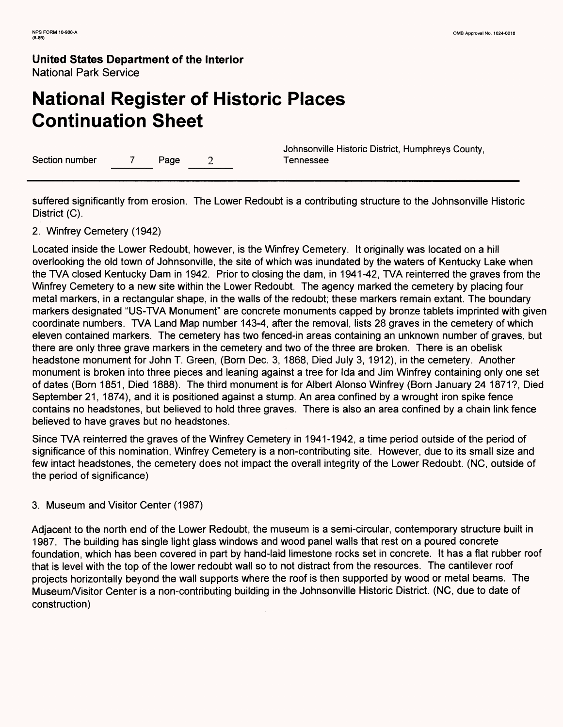# **National Register of Historic Places Continuation Sheet**

Section number 7 Page 2 7 Page 2 Tennessee

Johnsonville Historic District, Humphreys County,

suffered significantly from erosion. The Lower Redoubt is a contributing structure to the Johnsonville Historic District (C).

### 2. Winfrey Cemetery (1942)

Located inside the Lower Redoubt, however, is the Winfrey Cemetery. It originally was located on a hill overlooking the old town of Johnsonville, the site of which was inundated by the waters of Kentucky Lake when the TVA closed Kentucky Dam in 1942. Prior to closing the dam, in 1941-42, TVA reinterred the graves from the Winfrey Cemetery to a new site within the Lower Redoubt. The agency marked the cemetery by placing four metal markers, in a rectangular shape, in the walls of the redoubt; these markers remain extant. The boundary markers designated "US-TVA Monument" are concrete monuments capped by bronze tablets imprinted with given coordinate numbers. TVA Land Map number 143-4, after the removal, lists 28 graves in the cemetery of which eleven contained markers. The cemetery has two fenced-in areas containing an unknown number of graves, but there are only three grave markers in the cemetery and two of the three are broken. There is an obelisk headstone monument for John T. Green, (Born Dec. 3, 1868, Died July 3, 1912), in the cemetery. Another monument is broken into three pieces and leaning against a tree for Ida and Jim Winfrey containing only one set of dates (Born 1851, Died 1888). The third monument is for Albert Alonso Winfrey (Born January 24 1871?, Died September 21, 1874), and it is positioned against a stump. An area confined by a wrought iron spike fence contains no headstones, but believed to hold three graves. There is also an area confined by a chain link fence believed to have graves but no headstones.

Since TVA reinterred the graves of the Winfrey Cemetery in 1941-1942, a time period outside of the period of significance of this nomination, Winfrey Cemetery is a non-contributing site. However, due to its small size and few intact headstones, the cemetery does not impact the overall integrity of the Lower Redoubt. (NC, outside of the period of significance)

#### 3. Museum and Visitor Center (1987)

Adjacent to the north end of the Lower Redoubt, the museum is a semi-circular, contemporary structure built in 1987. The building has single light glass windows and wood panel walls that rest on a poured concrete foundation, which has been covered in part by hand-laid limestone rocks set in concrete. It has a flat rubber roof that is level with the top of the lower redoubt wall so to not distract from the resources. The cantilever roof projects horizontally beyond the wall supports where the roof is then supported by wood or metal beams. The Museum /Visitor Center is a non-contributing building in the Johnsonville Historic District. (NC, due to date of construction)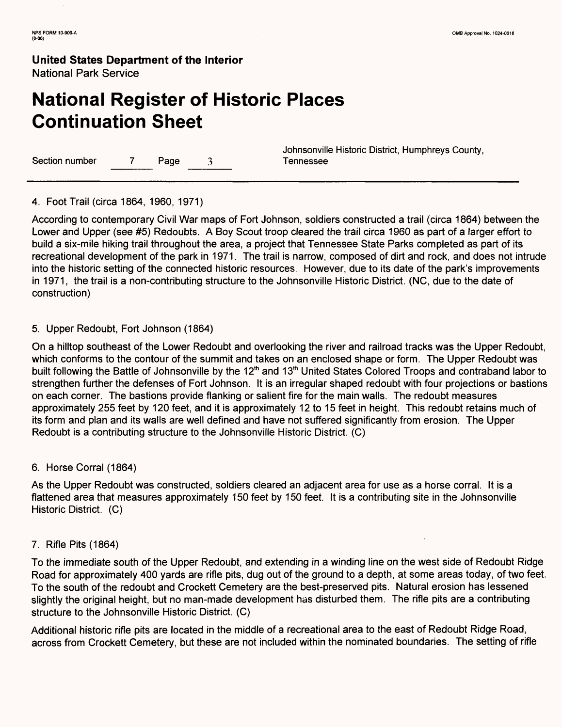## **National Register of Historic Places Continuation Sheet**

Section number 7 Page 3 Tennessee

Johnsonville Historic District, Humphreys County,

4. Foot Trail (circa 1864, 1960, 1971)

According to contemporary Civil War maps of Fort Johnson, soldiers constructed a trail (circa 1864) between the Lower and Upper (see #5) Redoubts. A Boy Scout troop cleared the trail circa 1960 as part of a larger effort to build a six-mile hiking trail throughout the area, a project that Tennessee State Parks completed as part of its recreational development of the park in 1971. The trail is narrow, composed of dirt and rock, and does not intrude into the historic setting of the connected historic resources. However, due to its date of the park's improvements in 1971, the trail is a non-contributing structure to the Johnsonville Historic District. (NC, due to the date of construction)

#### 5. Upper Redoubt, Fort Johnson (1864)

On a hilltop southeast of the Lower Redoubt and overlooking the river and railroad tracks was the Upper Redoubt, which conforms to the contour of the summit and takes on an enclosed shape or form. The Upper Redoubt was built following the Battle of Johnsonville by the 12<sup>th</sup> and 13<sup>th</sup> United States Colored Troops and contraband labor to strengthen further the defenses of Fort Johnson. It is an irregular shaped redoubt with four projections or bastions on each corner. The bastions provide flanking or salient fire for the main walls. The redoubt measures approximately 255 feet by 120 feet, and it is approximately 12 to 15 feet in height. This redoubt retains much of its form and plan and its walls are well defined and have not suffered significantly from erosion. The Upper Redoubt is a contributing structure to the Johnsonville Historic District. (C)

#### 6. Horse Corral (1864)

As the Upper Redoubt was constructed, soldiers cleared an adjacent area for use as a horse corral. It is a flattened area that measures approximately 150 feet by 150 feet. It is a contributing site in the Johnsonville Historic District. (C)

#### 7. Rifle Pits (1864)

To the immediate south of the Upper Redoubt, and extending in a winding line on the west side of Redoubt Ridge Road for approximately 400 yards are rifle pits, dug out of the ground to a depth, at some areas today, of two feet. To the south of the redoubt and Crockett Cemetery are the best-preserved pits. Natural erosion has lessened slightly the original height, but no man-made development has disturbed them. The rifle pits are a contributing structure to the Johnsonville Historic District. (C)

Additional historic rifle pits are located in the middle of a recreational area to the east of Redoubt Ridge Road, across from Crockett Cemetery, but these are not included within the nominated boundaries. The setting of rifle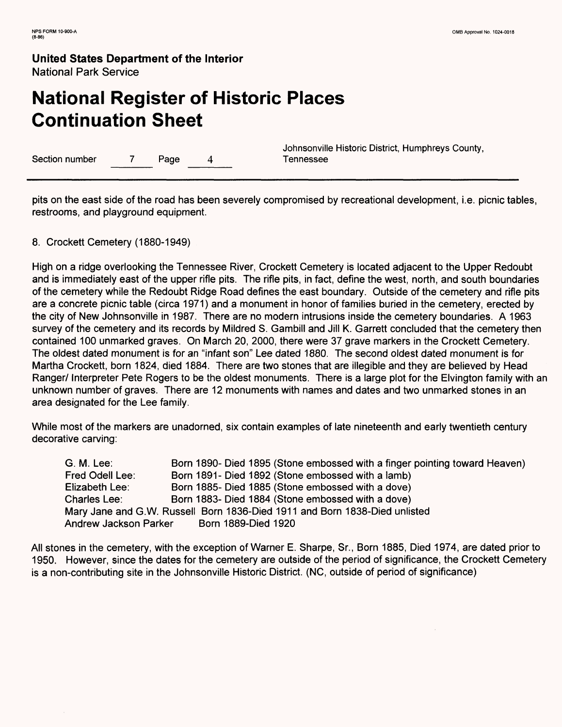# **National Register of Historic Places Continuation Sheet**

Section number 7 Page 4 Tennessee

Johnsonville Historic District, Humphreys County,

pits on the east side of the road has been severely compromised by recreational development, i.e. picnic tables, restrooms, and playground equipment.

#### 8. Crockett Cemetery (1880-1949)

High on a ridge overlooking the Tennessee River, Crockett Cemetery is located adjacent to the Upper Redoubt and is immediately east of the upper rifle pits. The rifle pits, in fact, define the west, north, and south boundaries of the cemetery while the Redoubt Ridge Road defines the east boundary. Outside of the cemetery and rifle pits are a concrete picnic table (circa 1971) and a monument in honor of families buried in the cemetery, erected by the city of New Johnsonville in 1987. There are no modern intrusions inside the cemetery boundaries. A 1963 survey of the cemetery and its records by Mildred S. Gambill and Jill K. Garrett concluded that the cemetery then contained 100 unmarked graves. On March 20, 2000, there were 37 grave markers in the Crockett Cemetery. The oldest dated monument is for an "infant son" Lee dated 1880. The second oldest dated monument is for Martha Crockett, born 1824, died 1884. There are two stones that are illegible and they are believed by Head Ranger/ Interpreter Pete Rogers to be the oldest monuments. There is a large plot for the Elvington family with an unknown number of graves. There are 12 monuments with names and dates and two unmarked stones in an area designated for the Lee family.

While most of the markers are unadorned, six contain examples of late nineteenth and early twentieth century decorative carving:

G. M. Lee: Born 1890- Died 1895 (Stone embossed with a finger pointing toward Heaven) Fred Odell Lee: Born 1891- Died 1892 (Stone embossed with a lamb) Elizabeth Lee: Born 1885- Died 1885 (Stone embossed with a dove) Charles Lee: Born 1883- Died 1884 (Stone embossed with a dove) Mary Jane and G.W. Russell Born 1836-Died 1911 and Born 1838-Died unlisted Andrew Jackson Parker Born 1889-Died 1920

All stones in the cemetery, with the exception of Warner E. Sharpe, Sr., Born 1885, Died 1974, are dated prior to 1950. However, since the dates for the cemetery are outside of the period of significance, the Crockett Cemetery is a non-contributing site in the Johnsonville Historic District. (NC, outside of period of significance)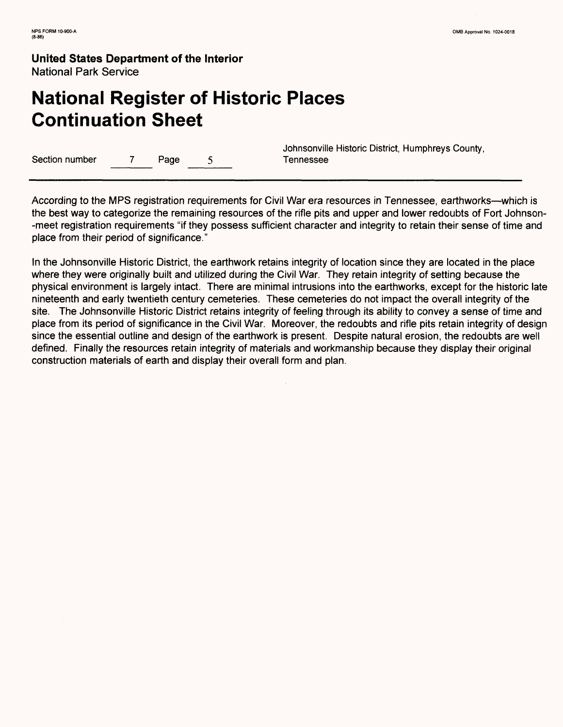# **National Register of Historic Places Continuation Sheet**

Section number 7 Page 5 Tennessee

Johnsonville Historic District, Humphreys County,

According to the MPS registration requirements for Civil War era resources in Tennessee, earthworks—which is the best way to categorize the remaining resources of the rifle pits and upper and lower redoubts of Fort Johnson- -meet registration requirements "if they possess sufficient character and integrity to retain their sense of time and place from their period of significance."

In the Johnsonville Historic District, the earthwork retains integrity of location since they are located in the place where they were originally built and utilized during the Civil War. They retain integrity of setting because the physical environment is largely intact. There are minimal intrusions into the earthworks, except for the historic late nineteenth and early twentieth century cemeteries. These cemeteries do not impact the overall integrity of the site. The Johnsonville Historic District retains integrity of feeling through its ability to convey a sense of time and place from its period of significance in the Civil War. Moreover, the redoubts and rifle pits retain integrity of design since the essential outline and design of the earthwork is present. Despite natural erosion, the redoubts are well defined. Finally the resources retain integrity of materials and workmanship because they display their original construction materials of earth and display their overall form and plan.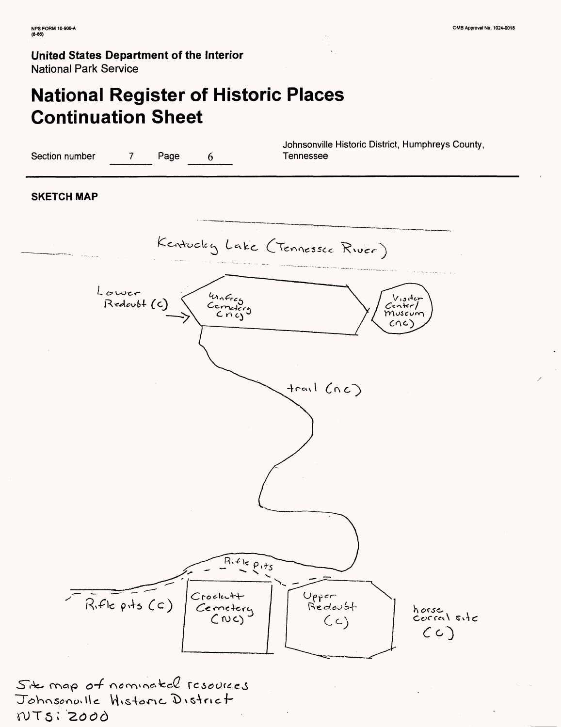# **National Register of Historic Places Continuation Sheet**



Sit map of nominated resources Johnsonville Historic District NTSI 2000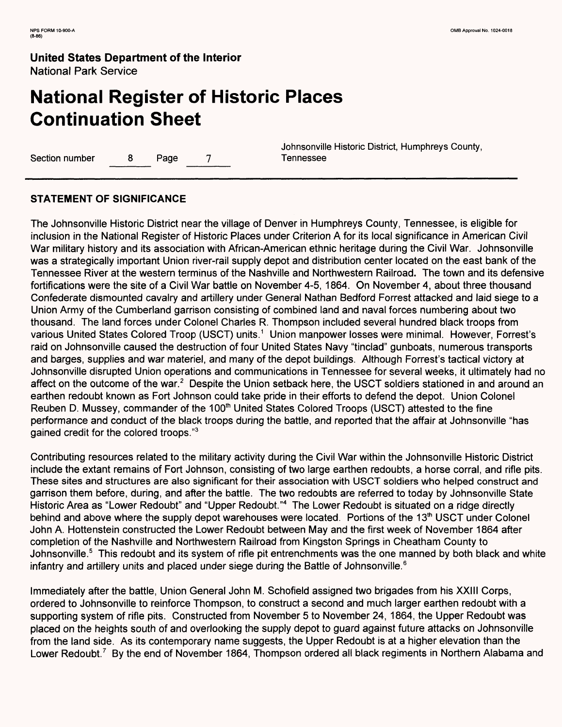# **National Register of Historic Places Continuation Sheet**

Section number 8 Page 7 Tennessee

Johnsonville Historic District, Humphreys County,

### **STATEMENT OF SIGNIFICANCE**

The Johnsonville Historic District near the village of Denver in Humphreys County, Tennessee, is eligible for inclusion in the National Register of Historic Places under Criterion A for its local significance in American Civil War military history and its association with African-American ethnic heritage during the Civil War. Johnsonville was a strategically important Union river-rail supply depot and distribution center located on the east bank of the Tennessee River at the western terminus of the Nashville and Northwestern Railroad. The town and its defensive fortifications were the site of a Civil War battle on November 4-5, 1864. On November 4, about three thousand Confederate dismounted cavalry and artillery under General Nathan Bedford Forrest attacked and laid siege to a Union Army of the Cumberland garrison consisting of combined land and naval forces numbering about two thousand. The land forces under Colonel Charles R. Thompson included several hundred black troops from various United States Colored Troop (USCT) units.<sup>1</sup> Union manpower losses were minimal. However, Forrest's raid on Johnsonville caused the destruction of four United States Navy "tinclad" gunboats, numerous transports and barges, supplies and war materiel, and many of the depot buildings. Although Forrest's tactical victory at Johnsonville disrupted Union operations and communications in Tennessee for several weeks, it ultimately had no affect on the outcome of the war.<sup>2</sup> Despite the Union setback here, the USCT soldiers stationed in and around an earthen redoubt known as Fort Johnson could take pride in their efforts to defend the depot. Union Colonel Reuben D. Mussey, commander of the 100<sup>th</sup> United States Colored Troops (USCT) attested to the fine performance and conduct of the black troops during the battle, and reported that the affair at Johnsonville "has gained credit for the colored troops."3

Contributing resources related to the military activity during the Civil War within the Johnsonville Historic District include the extant remains of Fort Johnson, consisting of two large earthen redoubts, a horse corral, and rifle pits. These sites and structures are also significant for their association with USCT soldiers who helped construct and garrison them before, during, and after the battle. The two redoubts are referred to today by Johnsonville State Historic Area as "Lower Redoubt" and "Upper Redoubt."4 The Lower Redoubt is situated on a ridge directly behind and above where the supply depot warehouses were located. Portions of the 13<sup>th</sup> USCT under Colonel John A. Hottenstein constructed the Lower Redoubt between May and the first week of November 1864 after completion of the Nashville and Northwestern Railroad from Kingston Springs in Cheatham County to Johnsonville.<sup>5</sup> This redoubt and its system of rifle pit entrenchments was the one manned by both black and white infantry and artillery units and placed under siege during the Battle of Johnsonville.<sup>6</sup>

Immediately after the battle, Union General John M. Schofield assigned two brigades from his XXIII Corps, ordered to Johnsonville to reinforce Thompson, to construct a second and much larger earthen redoubt with a supporting system of rifle pits. Constructed from November 5 to November 24, 1864, the Upper Redoubt was placed on the heights south of and overlooking the supply depot to guard against future attacks on Johnsonville from the land side. As its contemporary name suggests, the Upper Redoubt is at a higher elevation than the Lower Redoubt.<sup>7</sup> By the end of November 1864, Thompson ordered all black regiments in Northern Alabama and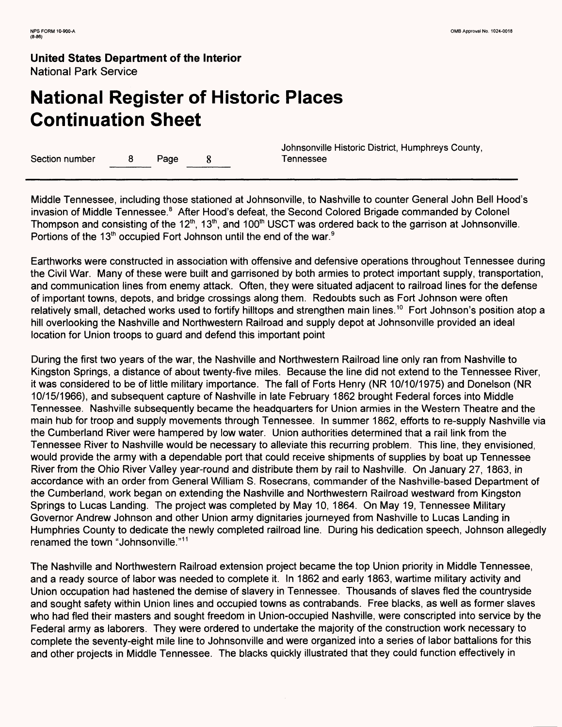# **National Register of Historic Places Continuation Sheet**

Section number 8 Page 8 Tennessee

Johnsonville Historic District, Humphreys County,

Middle Tennessee, including those stationed at Johnsonville, to Nashville to counter General John Bell Hood's invasion of Middle Tennessee.<sup>8</sup> After Hood's defeat, the Second Colored Brigade commanded by Colonel Thompson and consisting of the 12<sup>th</sup>, 13<sup>th</sup>, and 100<sup>th</sup> USCT was ordered back to the garrison at Johnsonville. Portions of the 13<sup>th</sup> occupied Fort Johnson until the end of the war.<sup>9</sup>

Earthworks were constructed in association with offensive and defensive operations throughout Tennessee during the Civil War. Many of these were built and garrisoned by both armies to protect important supply, transportation, and communication lines from enemy attack. Often, they were situated adjacent to railroad lines for the defense of important towns, depots, and bridge crossings along them. Redoubts such as Fort Johnson were often relatively small, detached works used to fortify hilltops and strengthen main lines. 10 Fort Johnson's position atop a hill overlooking the Nashville and Northwestern Railroad and supply depot at Johnsonville provided an ideal location for Union troops to guard and defend this important point

During the first two years of the war, the Nashville and Northwestern Railroad line only ran from Nashville to Kingston Springs, a distance of about twenty-five miles. Because the line did not extend to the Tennessee River, it was considered to be of little military importance. The fall of Forts Henry (NR 10/10/1975) and Donelson (NR 10/15/1966), and subsequent capture of Nashville in late February 1862 brought Federal forces into Middle Tennessee. Nashville subsequently became the headquarters for Union armies in the Western Theatre and the main hub for troop and supply movements through Tennessee. In summer 1862, efforts to re-supply Nashville via the Cumberland River were hampered by low water. Union authorities determined that a rail link from the Tennessee River to Nashville would be necessary to alleviate this recurring problem. This line, they envisioned, would provide the army with a dependable port that could receive shipments of supplies by boat up Tennessee River from the Ohio River Valley year-round and distribute them by rail to Nashville. On January 27, 1863, in accordance with an order from General William S. Rosecrans, commander of the Nashville-based Department of the Cumberland, work began on extending the Nashville and Northwestern Railroad westward from Kingston Springs to Lucas Landing. The project was completed by May 10, 1864. On May 19, Tennessee Military Governor Andrew Johnson and other Union army dignitaries journeyed from Nashville to Lucas Landing in Humphries County to dedicate the newly completed railroad line. During his dedication speech, Johnson allegedly renamed the town "Johnsonville." <sup>11</sup>

The Nashville and Northwestern Railroad extension project became the top Union priority in Middle Tennessee, and a ready source of labor was needed to complete it. In 1862 and early 1863, wartime military activity and Union occupation had hastened the demise of slavery in Tennessee. Thousands of slaves fled the countryside and sought safety within Union lines and occupied towns as contrabands. Free blacks, as well as former slaves who had fled their masters and sought freedom in Union-occupied Nashville, were conscripted into service by the Federal army as laborers. They were ordered to undertake the majority of the construction work necessary to complete the seventy-eight mile line to Johnsonville and were organized into a series of labor battalions for this and other projects in Middle Tennessee. The blacks quickly illustrated that they could function effectively in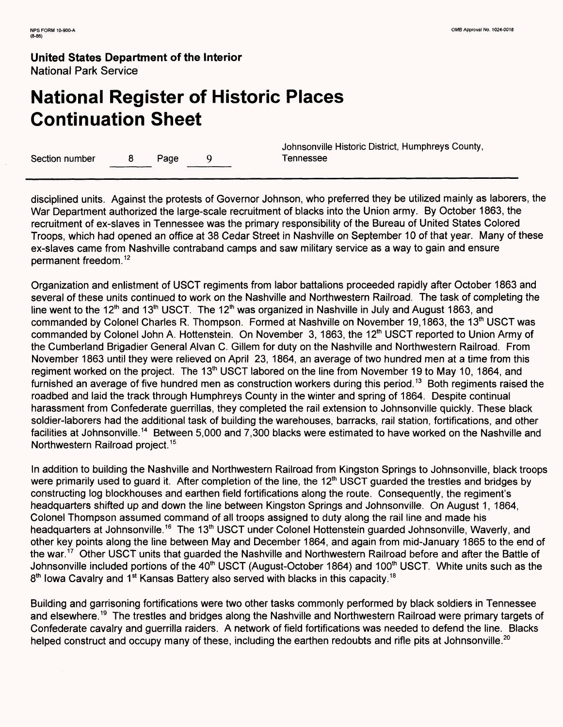# **National Register of Historic Places Continuation Sheet**

Section number 8 Page 9 Tennessee

Johnsonville Historic District, Humphreys County,

disciplined units. Against the protests of Governor Johnson, who preferred they be utilized mainly as laborers, the War Department authorized the large-scale recruitment of blacks into the Union army. By October 1863, the recruitment of ex-slaves in Tennessee was the primary responsibility of the Bureau of United States Colored Troops, which had opened an office at 38 Cedar Street in Nashville on September 10 of that year. Many of these ex-slaves came from Nashville contraband camps and saw military service as a way to gain and ensure permanent freedom. <sup>12</sup>

Organization and enlistment of USCT regiments from labor battalions proceeded rapidly after October 1863 and several of these units continued to work on the Nashville and Northwestern Railroad. The task of completing the line went to the 12<sup>th</sup> and 13<sup>th</sup> USCT. The 12<sup>th</sup> was organized in Nashville in July and August 1863, and commanded by Colonel Charles R. Thompson. Formed at Nashville on November 19,1863, the 13th USCT was commanded by Colonel John A. Hottenstein. On November 3, 1863, the 12<sup>th</sup> USCT reported to Union Army of the Cumberland Brigadier General Alvan C. Gillem for duty on the Nashville and Northwestern Railroad. From November 1863 until they were relieved on April 23, 1864, an average of two hundred men at a time from this regiment worked on the project. The 13<sup>th</sup> USCT labored on the line from November 19 to May 10, 1864, and furnished an average of five hundred men as construction workers during this period.<sup>13</sup> Both regiments raised the roadbed and laid the track through Humphreys County in the winter and spring of 1864. Despite continual harassment from Confederate guerrillas, they completed the rail extension to Johnsonville quickly. These black soldier-laborers had the additional task of building the warehouses, barracks, rail station, fortifications, and other facilities at Johnsonville. 14 Between 5,000 and 7,300 blacks were estimated to have worked on the Nashville and Northwestern Railroad project. <sup>15</sup>

In addition to building the Nashville and Northwestern Railroad from Kingston Springs to Johnsonville, black troops were primarily used to guard it. After completion of the line, the 12<sup>th</sup> USCT guarded the trestles and bridges by constructing log blockhouses and earthen field fortifications along the route. Consequently, the regiment's headquarters shifted up and down the line between Kingston Springs and Johnsonville. On August 1, 1864, Colonel Thompson assumed command of all troops assigned to duty along the rail line and made his headquarters at Johnsonville.<sup>16</sup> The 13<sup>th</sup> USCT under Colonel Hottenstein guarded Johnsonville, Waverly, and other key points along the line between May and December 1864, and again from mid-January 1865 to the end of the war. 17 Other USCT units that guarded the Nashville and Northwestern Railroad before and after the Battle of Johnsonville included portions of the 40<sup>th</sup> USCT (August-October 1864) and 100<sup>th</sup> USCT. White units such as the  $8<sup>th</sup>$  Iowa Cavalry and 1<sup>st</sup> Kansas Battery also served with blacks in this capacity.<sup>18</sup>

Building and garrisoning fortifications were two other tasks commonly performed by black soldiers in Tennessee and elsewhere.<sup>19</sup> The trestles and bridges along the Nashville and Northwestern Railroad were primary targets of Confederate cavalry and guerrilla raiders. A network of field fortifications was needed to defend the line. Blacks helped construct and occupy many of these, including the earthen redoubts and rifle pits at Johnsonville.<sup>20</sup>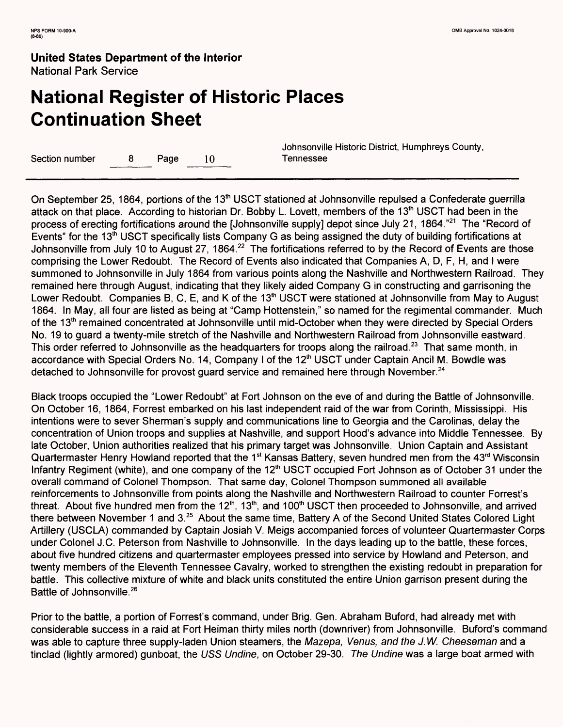# **National Register of Historic Places Continuation Sheet**

Section number a 8 Page 10 Tennessee

Johnsonville Historic District, Humphreys County,

On September 25, 1864, portions of the 13<sup>th</sup> USCT stationed at Johnsonville repulsed a Confederate guerrilla attack on that place. According to historian Dr. Bobby L. Lovett, members of the 13<sup>th</sup> USCT had been in the process of erecting fortifications around the [Johnsonville supply] depot since July 21, 1864."<sup>21</sup> The "Record of Events" for the 13<sup>th</sup> USCT specifically lists Company G as being assigned the duty of building fortifications at Johnsonville from July 10 to August 27, 1864.<sup>22</sup> The fortifications referred to by the Record of Events are those comprising the Lower Redoubt. The Record of Events also indicated that Companies A, D, F, H, and I were summoned to Johnsonville in July 1864 from various points along the Nashville and Northwestern Railroad. They remained here through August, indicating that they likely aided Company G in constructing and garrisoning the Lower Redoubt. Companies B, C, E, and K of the 13<sup>th</sup> USCT were stationed at Johnsonville from May to August 1864. In May, all four are listed as being at "Camp Hottenstein," so named for the regimental commander. Much of the 13<sup>th</sup> remained concentrated at Johnsonville until mid-October when they were directed by Special Orders No. 19 to guard a twenty-mile stretch of the Nashville and Northwestern Railroad from Johnsonville eastward. This order referred to Johnsonville as the headquarters for troops along the railroad.<sup>23</sup> That same month, in accordance with Special Orders No. 14, Company I of the 12<sup>th</sup> USCT under Captain Ancil M. Bowdle was detached to Johnsonville for provost guard service and remained here through November.<sup>24</sup>

Black troops occupied the "Lower Redoubt" at Fort Johnson on the eve of and during the Battle of Johnsonville. On October 16, 1864, Forrest embarked on his last independent raid of the war from Corinth, Mississippi. His intentions were to sever Sherman's supply and communications line to Georgia and the Carolinas, delay the concentration of Union troops and supplies at Nashville, and support Hood's advance into Middle Tennessee. By late October, Union authorities realized that his primary target was Johnsonville. Union Captain and Assistant Quartermaster Henry Howland reported that the 1<sup>st</sup> Kansas Battery, seven hundred men from the 43<sup>rd</sup> Wisconsin Infantry Regiment (white), and one company of the 12<sup>th</sup> USCT occupied Fort Johnson as of October 31 under the overall command of Colonel Thompson. That same day, Colonel Thompson summoned all available reinforcements to Johnsonville from points along the Nashville and Northwestern Railroad to counter Forrest's threat. About five hundred men from the  $12<sup>th</sup>$ ,  $13<sup>th</sup>$ , and  $100<sup>th</sup>$  USCT then proceeded to Johnsonville, and arrived there between November 1 and 3.<sup>25</sup> About the same time, Battery A of the Second United States Colored Light Artillery (USCLA) commanded by Captain Josiah V. Meigs accompanied forces of volunteer Quartermaster Corps under Colonel J.C. Peterson from Nashville to Johnsonville. In the days leading up to the battle, these forces, about five hundred citizens and quartermaster employees pressed into service by Howland and Peterson, and twenty members of the Eleventh Tennessee Cavalry, worked to strengthen the existing redoubt in preparation for battle. This collective mixture of white and black units constituted the entire Union garrison present during the Battle of Johnsonville. <sup>26</sup>

Prior to the battle, a portion of Forrest's command, under Brig. Gen. Abraham Buford, had already met with considerable success in a raid at Fort Heiman thirty miles north (downriver) from Johnsonville. Buford's command was able to capture three supply-laden Union steamers, the Mazepa, Venus, and the J.W. Cheeseman and a tinclad (lightly armored) gunboat, the USS Undine, on October 29-30. The Undine was a large boat armed with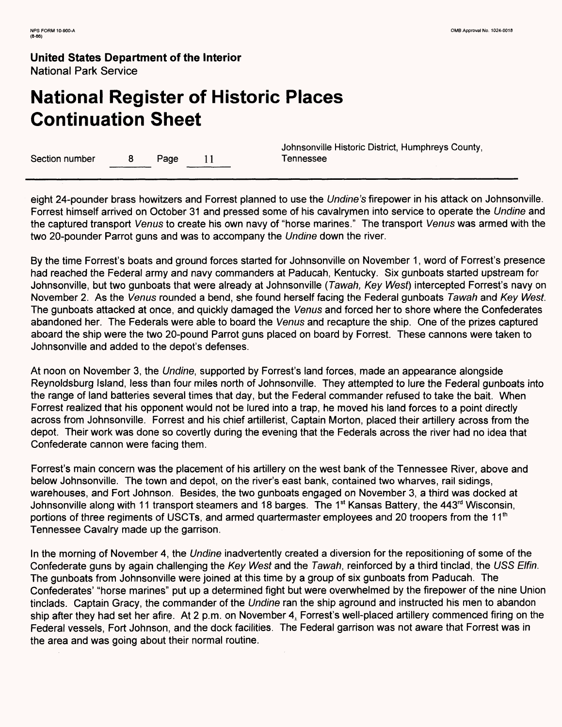# **National Register of Historic Places Continuation Sheet**

Section number 8 Page 11 Tennessee

Johnsonville Historic District, Humphreys County,

eight 24-pounder brass howitzers and Forrest planned to use the Undine's firepower in his attack on Johnsonville. Forrest himself arrived on October 31 and pressed some of his cavalrymen into service to operate the Undine and the captured transport Venus to create his own navy of "horse marines." The transport Venus was armed with the two 20-pounder Parrot guns and was to accompany the Undine down the river.

By the time Forrest's boats and ground forces started for Johnsonville on November 1, word of Forrest's presence had reached the Federal army and navy commanders at Paducah, Kentucky. Six gunboats started upstream for Johnsonville, but two gunboats that were already at Johnsonville (Tawah, Key West) intercepted Forrest's navy on November 2. As the Venus rounded a bend, she found herself facing the Federal gunboats Tawah and Key West. The gunboats attacked at once, and quickly damaged the Venus and forced her to shore where the Confederates abandoned her. The Federals were able to board the Venus and recapture the ship. One of the prizes captured aboard the ship were the two 20-pound Parrot guns placed on board by Forrest. These cannons were taken to Johnsonville and added to the depot's defenses.

At noon on November 3, the Undine, supported by Forrest's land forces, made an appearance alongside Reynoldsburg Island, less than four miles north of Johnsonville. They attempted to lure the Federal gunboats into the range of land batteries several times that day, but the Federal commander refused to take the bait. When Forrest realized that his opponent would not be lured into a trap, he moved his land forces to a point directly across from Johnsonville. Forrest and his chief artillerist, Captain Morton, placed their artillery across from the depot. Their work was done so covertly during the evening that the Federals across the river had no idea that Confederate cannon were facing them.

Forrest's main concern was the placement of his artillery on the west bank of the Tennessee River, above and below Johnsonville. The town and depot, on the river's east bank, contained two wharves, rail sidings, warehouses, and Fort Johnson. Besides, the two gunboats engaged on November 3, a third was docked at Johnsonville along with 11 transport steamers and 18 barges. The 1<sup>st</sup> Kansas Battery, the 443<sup>rd</sup> Wisconsin, portions of three regiments of USCTs, and armed quartermaster employees and 20 troopers from the 11<sup>th</sup> Tennessee Cavalry made up the garrison.

In the morning of November 4, the Undine inadvertently created a diversion for the repositioning of some of the Confederate guns by again challenging the Key West and the Tawah, reinforced by a third tinclad, the USS Elfin. The gunboats from Johnsonville were joined at this time by a group of six gunboats from Paducah. The Confederates' "horse marines" put up a determined fight but were overwhelmed by the firepower of the nine Union tinclads. Captain Gracy, the commander of the Undine ran the ship aground and instructed his men to abandon ship after they had set her afire. At 2 p.m. on November 4, Forrest's well-placed artillery commenced firing on the Federal vessels, Fort Johnson, and the dock facilities. The Federal garrison was not aware that Forrest was in the area and was going about their normal routine.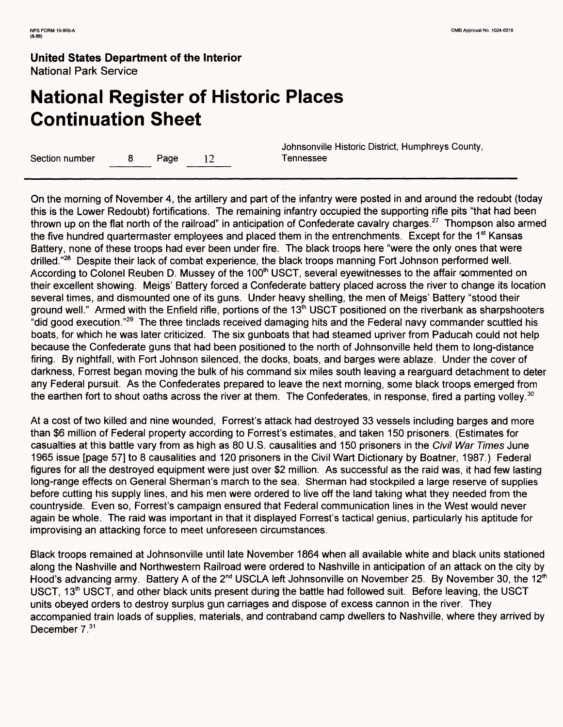# **National Register of Historic Places Continuation Sheet**

Section number 8 Page 12 Tennessee

Johnsonville Historic District, Humphreys County,

On the morning of November 4, the artillery and part of the infantry were posted in and around the redoubt (today this is the Lower Redoubt) fortifications. The remaining infantry occupied the supporting rifle pits "that had been thrown up on the flat north of the railroad" in anticipation of Confederate cavalry charges. 27 Thompson also armed the five hundred quartermaster employees and placed them in the entrenchments. Except for the 1<sup>st</sup> Kansas Battery, none of these troops had ever been under fire. The black troops here "were the only ones that were drilled."28 Despite their lack of combat experience, the black troops manning Fort Johnson performed well. According to Colonel Reuben D. Mussey of the 100<sup>th</sup> USCT, several eyewitnesses to the affair commented on their excellent showing. Meigs' Battery forced a Confederate battery placed across the river to change its location several times, and dismounted one of its guns. Under heavy shelling, the men of Meigs' Battery "stood their ground well." Armed with the Enfield rifle, portions of the 13<sup>th</sup> USCT positioned on the riverbank as sharpshooters "did good execution."29 The three tinclads received damaging hits and the Federal navy commander scuttled his boats, for which he was later criticized. The six gunboats that had steamed upriver from Paducah could not help because the Confederate guns that had been positioned to the north of Johnsonville held them to long-distance firing. By nightfall, with Fort Johnson silenced, the docks, boats, and barges were ablaze. Under the cover of darkness, Forrest began moving the bulk of his command six miles south leaving a rearguard detachment to deter any Federal pursuit. As the Confederates prepared to leave the next morning, some black troops emerged from the earthen fort to shout oaths across the river at them. The Confederates, in response, fired a parting volley.<sup>30</sup>

At a cost of two killed and nine wounded, Forrest's attack had destroyed 33 vessels including barges and more than \$6 million of Federal property according to Forrest's estimates, and taken 150 prisoners. (Estimates for casualties at this battle vary from as high as 80 U.S. causalities and 150 prisoners in the Civil War Times June 1965 issue [page 57] to 8 causalities and 120 prisoners in the Civil Wart Dictionary by Boatner, 1987.) Federal figures for all the destroyed equipment were just over \$2 million. As successful as the raid was, it had few lasting long-range effects on General Sherman's march to the sea. Sherman had stockpiled a large reserve of supplies before cutting his supply lines, and his men were ordered to live off the land taking what they needed from the countryside. Even so, Forrest's campaign ensured that Federal communication lines in the West would never again be whole. The raid was important in that it displayed Forrest's tactical genius, particularly his aptitude for improvising an attacking force to meet unforeseen circumstances.

Black troops remained at Johnsonville until late November 1864 when all available white and black units stationed along the Nashville and Northwestern Railroad were ordered to Nashville in anticipation of an attack on the city by Hood's advancing army. Battery A of the 2<sup>nd</sup> USCLA left Johnsonville on November 25. By November 30, the 12<sup>th</sup> USCT, 13<sup>th</sup> USCT, and other black units present during the battle had followed suit. Before leaving, the USCT units obeyed orders to destroy surplus gun carriages and dispose of excess cannon in the river. They accompanied train loads of supplies, materials, and contraband camp dwellers to Nashville, where they arrived by December  $7^{31}$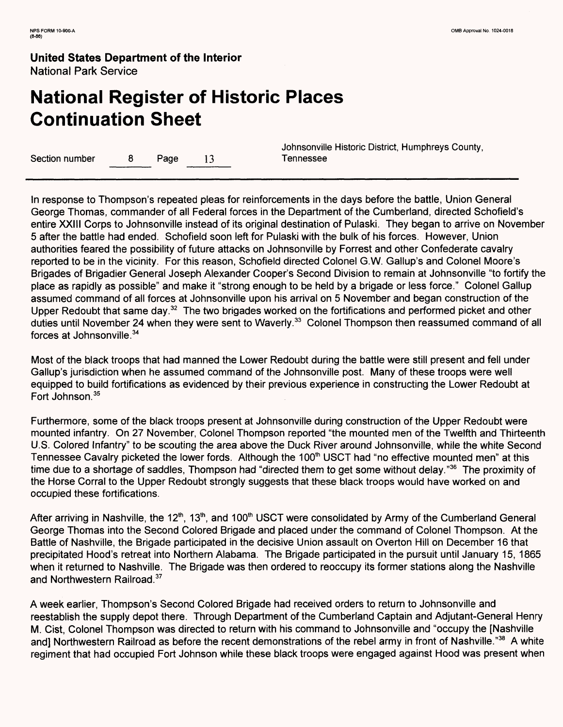# **National Register of Historic Places Continuation Sheet**

Section number a  $8$  Page 13 Tennessee

Johnsonville Historic District, Humphreys County,

In response to Thompson's repeated pleas for reinforcements in the days before the battle, Union General George Thomas, commander of all Federal forces in the Department of the Cumberland, directed Schofield's entire XXIII Corps to Johnsonville instead of its original destination of Pulaski. They began to arrive on November 5 after the battle had ended. Schofield soon left for Pulaski with the bulk of his forces. However, Union authorities feared the possibility of future attacks on Johnsonville by Forrest and other Confederate cavalry reported to be in the vicinity. For this reason, Schofield directed Colonel G.W. Gallup's and Colonel Moore's Brigades of Brigadier General Joseph Alexander Cooper's Second Division to remain at Johnsonville "to fortify the place as rapidly as possible" and make it "strong enough to be held by a brigade or less force." Colonel Gallup assumed command of all forces at Johnsonville upon his arrival on 5 November and began construction of the Upper Redoubt that same day.<sup>32</sup> The two brigades worked on the fortifications and performed picket and other duties until November 24 when they were sent to Waverly.<sup>33</sup> Colonel Thompson then reassumed command of all forces at Johnsonville. <sup>34</sup>

Most of the black troops that had manned the Lower Redoubt during the battle were still present and fell under Gallup's jurisdiction when he assumed command of the Johnsonville post. Many of these troops were well equipped to build fortifications as evidenced by their previous experience in constructing the Lower Redoubt at Fort Johnson.<sup>35</sup>

Furthermore, some of the black troops present at Johnsonville during construction of the Upper Redoubt were mounted infantry. On 27 November, Colonel Thompson reported "the mounted men of the Twelfth and Thirteenth U.S. Colored Infantry" to be scouting the area above the Duck River around Johnsonville, while the white Second Tennessee Cavalry picketed the lower fords. Although the 100<sup>th</sup> USCT had "no effective mounted men" at this time due to a shortage of saddles, Thompson had "directed them to get some without delay."36 The proximity of the Horse Corral to the Upper Redoubt strongly suggests that these black troops would have worked on and occupied these fortifications.

After arriving in Nashville, the 12<sup>th</sup>, 13<sup>th</sup>, and 100<sup>th</sup> USCT were consolidated by Army of the Cumberland General George Thomas into the Second Colored Brigade and placed under the command of Colonel Thompson. At the Battle of Nashville, the Brigade participated in the decisive Union assault on Overton Hill on December 16 that precipitated Hood's retreat into Northern Alabama. The Brigade participated in the pursuit until January 15, 1865 when it returned to Nashville. The Brigade was then ordered to reoccupy its former stations along the Nashville and Northwestern Railroad.<sup>37</sup>

A week earlier, Thompson's Second Colored Brigade had received orders to return to Johnsonville and reestablish the supply depot there. Through Department of the Cumberland Captain and Adjutant-General Henry M. Cist, Colonel Thompson was directed to return with his command to Johnsonville and "occupy the [Nashville and] Northwestern Railroad as before the recent demonstrations of the rebel army in front of Nashville."<sup>38</sup> A white regiment that had occupied Fort Johnson while these black troops were engaged against Hood was present when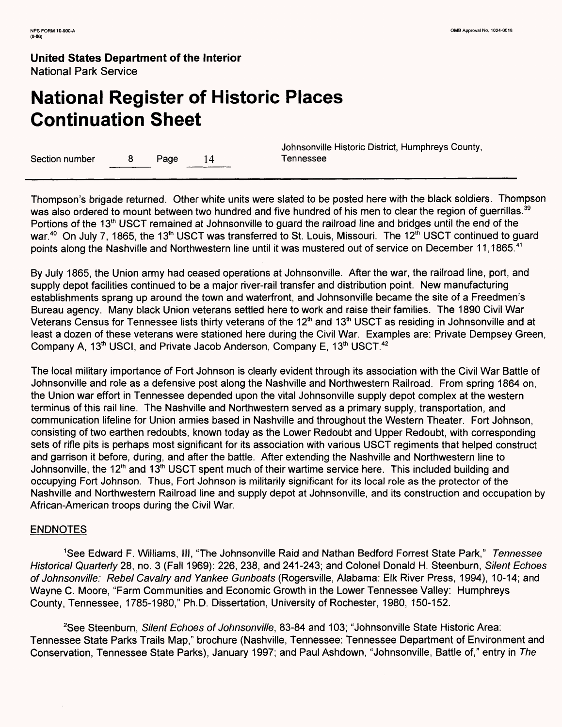# **National Register of Historic Places Continuation Sheet**

Section number 8 Page 14 Tennessee

Johnsonville Historic District, Humphreys County,

Thompson's brigade returned. Other white units were slated to be posted here with the black soldiers. Thompson was also ordered to mount between two hundred and five hundred of his men to clear the region of guerrillas.<sup>39</sup> Portions of the 13<sup>th</sup> USCT remained at Johnsonville to guard the railroad line and bridges until the end of the war.<sup>40</sup> On July 7, 1865, the 13<sup>th</sup> USCT was transferred to St. Louis, Missouri. The 12<sup>th</sup> USCT continued to guard points along the Nashville and Northwestern line until it was mustered out of service on December 11,1865.<sup>41</sup>

By July 1865, the Union army had ceased operations at Johnsonville. After the war, the railroad line, port, and supply depot facilities continued to be a major river-rail transfer and distribution point. New manufacturing establishments sprang up around the town and waterfront, and Johnsonville became the site of a Freedmen's Bureau agency. Many black Union veterans settled here to work and raise their families. The 1890 Civil War Veterans Census for Tennessee lists thirty veterans of the 12<sup>th</sup> and 13<sup>th</sup> USCT as residing in Johnsonville and at least a dozen of these veterans were stationed here during the Civil War. Examples are: Private Dempsey Green, Company A, 13<sup>th</sup> USCI, and Private Jacob Anderson, Company E, 13<sup>th</sup> USCT.<sup>42</sup>

The local military importance of Fort Johnson is clearly evident through its association with the Civil War Battle of Johnsonville and role as a defensive post along the Nashville and Northwestern Railroad. From spring 1864 on, the Union war effort in Tennessee depended upon the vital Johnsonville supply depot complex at the western terminus of this rail line. The Nashville and Northwestern served as a primary supply, transportation, and communication lifeline for Union armies based in Nashville and throughout the Western Theater. Fort Johnson, consisting of two earthen redoubts, known today as the Lower Redoubt and Upper Redoubt, with corresponding sets of rifle pits is perhaps most significant for its association with various USCT regiments that helped construct and garrison it before, during, and after the battle. After extending the Nashville and Northwestern line to Johnsonville, the 12<sup>th</sup> and 13<sup>th</sup> USCT spent much of their wartime service here. This included building and occupying Fort Johnson. Thus, Fort Johnson is militarily significant for its local role as the protector of the Nashville and Northwestern Railroad line and supply depot at Johnsonville, and its construction and occupation by African-American troops during the Civil War.

### ENDNOTES

<sup>1</sup>See Edward F. Williams, III, "The Johnsonville Raid and Nathan Bedford Forrest State Park," Tennessee Historical Quarterly 28, no. 3 (Fall 1969): 226, 238, and 241-243; and Colonel Donald H. Steenburn, Silent Echoes of Johnsonville: Rebel Cavalry and Yankee Gunboats (Rogersville, Alabama: Elk River Press, 1994), 10-14; and Wayne C. Moore, "Farm Communities and Economic Growth in the Lower Tennessee Valley: Humphreys County, Tennessee, 1785-1980," Ph.D. Dissertation, University of Rochester, 1980, 150-152.

<sup>2</sup>See Steenburn, Silent Echoes of Johnsonville, 83-84 and 103; "Johnsonville State Historic Area: Tennessee State Parks Trails Map," brochure (Nashville, Tennessee: Tennessee Department of Environment and Conservation, Tennessee State Parks), January 1997; and Paul Ashdown, "Johnsonville, Battle of," entry in The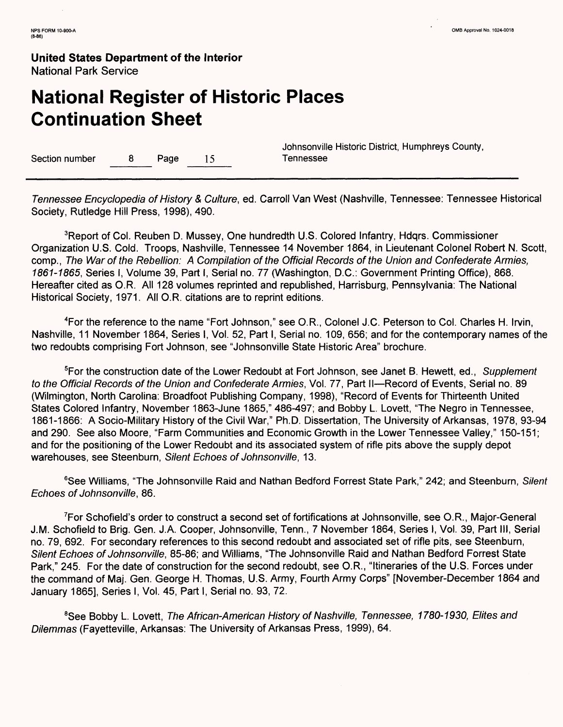# **National Register of Historic Places Continuation Sheet**

Section number 8 Page 15 Tennessee

Johnsonville Historic District, Humphreys County,

Tennessee Encyclopedia of History & Culture, ed. Carroll Van West (Nashville, Tennessee: Tennessee Historical Society, Rutledge Hill Press, 1998), 490.

<sup>3</sup>Report of Col. Reuben D. Mussey, One hundredth U.S. Colored Infantry, Hdqrs. Commissioner Organization U.S. Cold. Troops, Nashville, Tennessee 14 November 1864, in Lieutenant Colonel Robert N. Scott, comp., The War of the Rebellion: A Compilation of the Official Records of the Union and Confederate Armies, 1861-1865, Series I, Volume 39, Part I, Serial no. 77 (Washington, D.C.: Government Printing Office), 868. Hereafter cited as O.R. All 128 volumes reprinted and republished, Harrisburg, Pennsylvania: The National Historical Society, 1971. All O.R. citations are to reprint editions.

4For the reference to the name "Fort Johnson," see O.R., Colonel J.C. Peterson to Col. Charles H. In/in, Nashville, 11 November 1864, Series I, Vol. 52, Part I, Serial no. 109, 656; and for the contemporary names of the two redoubts comprising Fort Johnson, see "Johnsonville State Historic Area" brochure.

<sup>5</sup>For the construction date of the Lower Redoubt at Fort Johnson, see Janet B. Hewett, ed., Supplement to the Official Records of the Union and Confederate Armies, Vol. 77, Part II—Record of Events, Serial no. 89 (Wilmington, North Carolina: Broadfoot Publishing Company, 1998), "Record of Events for Thirteenth United States Colored Infantry, November 1863-June 1865," 486-497; and Bobby L. Lovett, "The Negro in Tennessee, 1861-1866: A Socio-Military History of the Civil War," Ph.D. Dissertation, The University of Arkansas, 1978, 93-94 and 290. See also Moore, "Farm Communities and Economic Growth in the Lower Tennessee Valley," 150-151; and for the positioning of the Lower Redoubt and its associated system of rifle pits above the supply depot warehouses, see Steenburn, Silent Echoes of Johnsonville, 13.

<sup>6</sup>See Williams, "The Johnsonville Raid and Nathan Bedford Forrest State Park," 242; and Steenburn, Silent Echoes of Johnsonville, 86.

7For Schofield's order to construct a second set of fortifications at Johnsonville, see O.R., Major-General J.M. Schofield to Brig. Gen. J.A. Cooper, Johnsonville, Tenn., 7 November 1864, Series I, Vol. 39, Part III, Serial no. 79, 692. For secondary references to this second redoubt and associated set of rifle pits, see Steenburn, Silent Echoes of Johnsonville, 85-86; and Williams, "The Johnsonville Raid and Nathan Bedford Forrest State Park," 245. For the date of construction for the second redoubt, see O.R., "Itineraries of the U.S. Forces under the command of Maj. Gen. George H. Thomas, U.S. Army, Fourth Army Corps" [November-December 1864 and January 1865], Series I, Vol. 45, Part I, Serial no. 93, 72.

<sup>8</sup>See Bobby L. Lovett, The African-American History of Nashville, Tennessee, 1780-1930, Elites and Dilemmas (Fayetteville, Arkansas: The University of Arkansas Press, 1999), 64.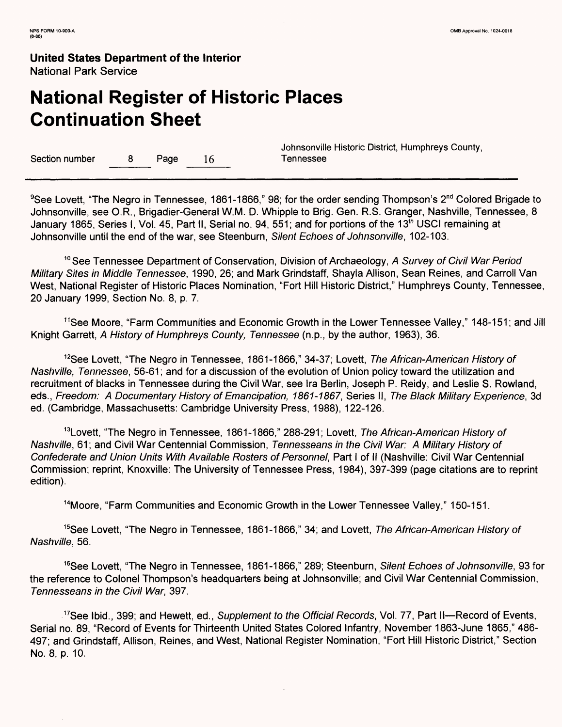# **National Register of Historic Places Continuation Sheet**

Section number 8 Page 16 Tennessee

Johnsonville Historic District, Humphreys County,

<sup>9</sup>See Lovett, "The Negro in Tennessee, 1861-1866," 98; for the order sending Thompson's 2<sup>nd</sup> Colored Brigade to Johnsonville, see O.R., Brigadier-General W.M. D. Whipple to Brig. Gen. R.S. Granger, Nashville, Tennessee, 8 January 1865, Series I, Vol. 45, Part II, Serial no. 94, 551; and for portions of the 13<sup>th</sup> USCI remaining at Johnsonville until the end of the war, see Steenburn, Silent Echoes of Johnsonville, 102-103.

<sup>10</sup> See Tennessee Department of Conservation, Division of Archaeology, A Survey of Civil War Period Military Sites in Middle Tennessee, 1990, 26; and Mark Grindstaff, Shayla Allison, Sean Reines, and Carroll Van West, National Register of Historic Places Nomination, "Fort Hill Historic District," Humphreys County, Tennessee, 20 January 1999, Section No. 8, p. 7.

<sup>11</sup>See Moore, "Farm Communities and Economic Growth in the Lower Tennessee Valley," 148-151; and Jill Knight Garrett, A History of Humphreys County, Tennessee (n.p., by the author, 1963), 36.

<sup>12</sup>See Lovett, "The Negro in Tennessee, 1861-1866," 34-37; Lovett, The African-American History of Nashville, Tennessee, 56-61; and for a discussion of the evolution of Union policy toward the utilization and recruitment of blacks in Tennessee during the Civil War, see Ira Berlin, Joseph P. Reidy, and Leslie S. Rowland, eds., Freedom: A Documentary History of Emancipation, 1861-1867, Series II, The Black Military Experience, 3d ed. (Cambridge, Massachusetts: Cambridge University Press, 1988), 122-126.

<sup>13</sup>Lovett, "The Negro in Tennessee, 1861-1866," 288-291; Lovett, The African-American History of Nashville, 61; and Civil War Centennial Commission, Tennesseans in the Civil War: A Military History of Confederate and Union Units With Available Rosters of Personnel, Part I of II (Nashville: Civil War Centennial Commission; reprint, Knoxville: The University of Tennessee Press, 1984), 397-399 (page citations are to reprint edition).

<sup>14</sup>Moore, "Farm Communities and Economic Growth in the Lower Tennessee Valley," 150-151.

<sup>15</sup>See Lovett, "The Negro in Tennessee, 1861-1866," 34; and Lovett, The African-American History of Nashville, 56.

<sup>16</sup>See Lovett, "The Negro in Tennessee, 1861-1866," 289; Steenburn, Silent Echoes of Johnsonville, 93 for the reference to Colonel Thompson's headquarters being at Johnsonville; and Civil War Centennial Commission, Tennesseans in the Civil War, 397.

<sup>17</sup>See Ibid., 399; and Hewett, ed., Supplement to the Official Records, Vol. 77, Part II—Record of Events, Serial no. 89, "Record of Events for Thirteenth United States Colored Infantry, November 1863-June 1865," 486- 497; and Grindstaff, Allison, Reines, and West, National Register Nomination, "Fort Hill Historic District," Section No. 8, p. 10.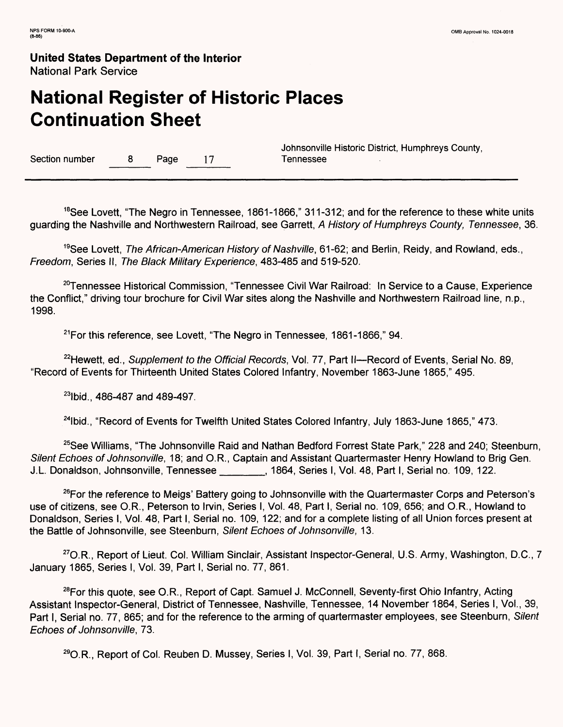# **National Register of Historic Places Continuation Sheet**

Section number 8 Page 17

Johnsonville Historic District, Humphreys County,

<sup>18</sup>See Lovett, "The Negro in Tennessee, 1861-1866," 311-312; and for the reference to these white units guarding the Nashville and Northwestern Railroad, see Garrett, A History of Humphreys County, Tennessee, 36.

<sup>19</sup>See Lovett, *The African-American History of Nashville*, 61-62; and Berlin, Reidy, and Rowland, eds., Freedom, Series II, The Black Military Experience, 483-485 and 519-520.

<sup>20</sup>Tennessee Historical Commission, "Tennessee Civil War Railroad: In Service to a Cause, Experience the Conflict," driving tour brochure for Civil War sites along the Nashville and Northwestern Railroad line, n.p., 1998.

 $21$  For this reference, see Lovett, "The Negro in Tennessee, 1861-1866," 94.

<sup>22</sup>Hewett, ed., Supplement to the Official Records, Vol. 77, Part II—Record of Events, Serial No. 89, "Record of Events for Thirteenth United States Colored Infantry, November 1863-June 1865," 495.

23lbid., 486-487 and 489-497.

<sup>24</sup>lbid., "Record of Events for Twelfth United States Colored Infantry, July 1863-June 1865," 473.

<sup>25</sup>See Williams, "The Johnsonville Raid and Nathan Bedford Forrest State Park," 228 and 240; Steenburn, Silent Echoes of Johnsonville, 18; and O.R., Captain and Assistant Quartermaster Henry Howland to Brig Gen. J.L. Donaldson, Johnsonville, Tennessee \_\_\_\_\_\_, 1864, Series I, Vol. 48, Part I, Serial no. 109, 122.

<sup>26</sup>For the reference to Meigs' Battery going to Johnsonville with the Quartermaster Corps and Peterson's use of citizens, see O.R., Peterson to Irvin, Series I, Vol. 48, Part I, Serial no. 109, 656; and O.R., Howland to Donaldson, Series I, Vol. 48, Part I, Serial no. 109, 122; and for a complete listing of all Union forces present at the Battle of Johnsonville, see Steenburn, Silent Echoes of Johnsonville, 13.

27O.R., Report of Lieut. Col. William Sinclair, Assistant Inspector-General, U.S. Army, Washington, D.C., 7 January 1865, Series I, Vol. 39, Part I, Serial no. 77, 861.

<sup>28</sup>For this quote, see O.R., Report of Capt. Samuel J. McConnell, Seventy-first Ohio Infantry, Acting Assistant Inspector-General, District of Tennessee, Nashville, Tennessee, 14 November 1864, Series I, Vol., 39, Part I, Serial no. 77, 865; and for the reference to the arming of quartermaster employees, see Steenburn, Silent Echoes of Johnsonville, 73.

**29**O.R., Report of Col. Reuben D. Mussey, Series I, Vol. 39, Part I, Serial no. 77, 868.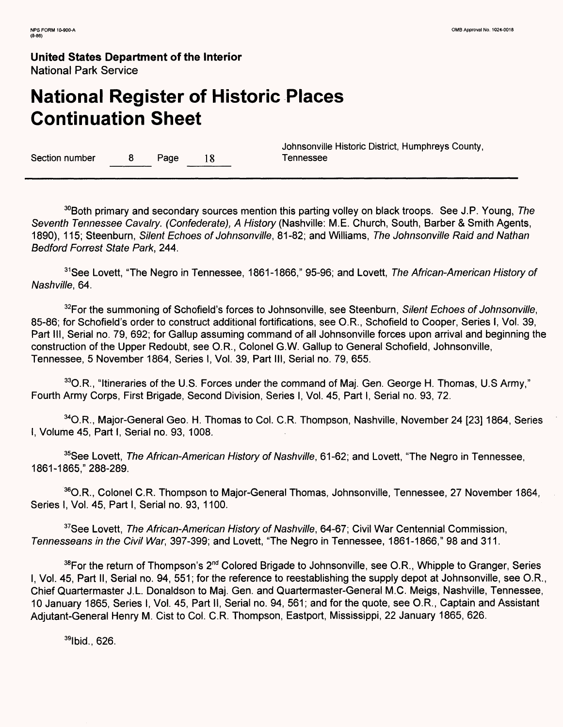# **National Register of Historic Places Continuation Sheet**

Section number a B Page 18 Tennessee

Johnsonville Historic District, Humphreys County,

 $30B$ oth primary and secondary sources mention this parting volley on black troops. See J.P. Young, The Seventh Tennessee Cavalry. (Confederate), A History (Nashville: M.E. Church, South, Barber & Smith Agents, 1890), 115; Steenburn, Silent Echoes of Johnsonville, 81-82; and Williams, The Johnsonville Raid and Nathan Bedford Forrest State Park, 244.

<sup>31</sup>See Lovett, "The Negro in Tennessee, 1861-1866," 95-96; and Lovett, The African-American History of Nashville, 64.

<sup>32</sup>For the summoning of Schofield's forces to Johnsonville, see Steenburn, Silent Echoes of Johnsonville, 85-86; for Schofield's order to construct additional fortifications, see O.R., Schofield to Cooper, Series I, Vol. 39, Part III, Serial no. 79, 692; for Gallup assuming command of all Johnsonville forces upon arrival and beginning the construction of the Upper Redoubt, see O.R., Colonel G.W. Gallup to General Schofield, Johnsonville, Tennessee, 5 November 1864, Series I, Vol. 39, Part III, Serial no. 79, 655.

<sup>33</sup>O.R., "Itineraries of the U.S. Forces under the command of Maj. Gen. George H. Thomas, U.S Army," Fourth Army Corps, First Brigade, Second Division, Series I, Vol. 45, Part I, Serial no. 93, 72.

<sup>34</sup> O.R., Major-General Geo. H. Thomas to Col. C.R. Thompson, Nashville, November 24 [23] 1864, Series I, Volume 45, Part I, Serial no. 93, 1008.

<sup>35</sup>See Lovett, The African-American History of Nashville, 61-62; and Lovett, "The Negro in Tennessee, 1861-1865," 288-289.

36O.R., Colonel C.R. Thompson to Major-General Thomas, Johnsonville, Tennessee, 27 November 1864, Series I, Vol. 45, Part I, Serial no. 93, 1100.

<sup>37</sup>See Lovett, The African-American History of Nashville, 64-67; Civil War Centennial Commission, Tennesseans in the Civil War, 397-399; and Lovett, "The Negro in Tennessee, 1861-1866," 98 and 311.

38For the return of Thompson's 2<sup>nd</sup> Colored Brigade to Johnsonville, see O.R., Whipple to Granger, Series I, Vol. 45, Part II, Serial no. 94, 551; for the reference to reestablishing the supply depot at Johnsonville, see O.R., Chief Quartermaster J.L. Donaldson to Maj. Gen. and Quartermaster-General M.C. Meigs, Nashville, Tennessee, 10 January 1865, Series I, Vol. 45, Part II, Serial no. 94, 561; and for the quote, see O.R., Captain and Assistant Adjutant-General Henry M. Cist to Col. C.R. Thompson, Eastport, Mississippi, 22 January 1865, 626.

**<sup>39</sup>** Ibid., 626.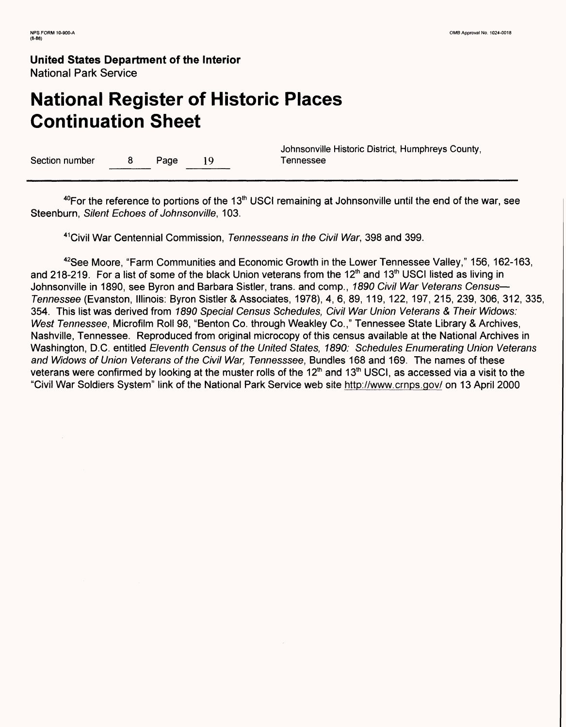# **National Register of Historic Places Continuation Sheet**

Section number 8 Page 19 Tennessee

Johnsonville Historic District, Humphreys County,

 $40$ For the reference to portions of the 13<sup>th</sup> USCI remaining at Johnsonville until the end of the war, see Steenburn, Silent Echoes of Johnsonville, 103.

<sup>41</sup> Civil War Centennial Commission, Tennesseans in the Civil War, 398 and 399.

42See Moore, "Farm Communities and Economic Growth in the Lower Tennessee Valley," 156, 162-163, and 218-219. For a list of some of the black Union veterans from the 12<sup>th</sup> and 13<sup>th</sup> USCI listed as living in Johnsonville in 1890, see Byron and Barbara Sistler, trans. and comp., 1890 Civil War Veterans Census— Tennessee (Evanston, Illinois: Byron Sistler & Associates, 1978), 4, 6, 89, 119, 122, 197, 215, 239, 306, 312, 335, 354. This list was derived from 1890 Special Census Schedules, Civil War Union Veterans & Their Widows: West Tennessee, Microfilm Roll 98, "Benton Co. through Weakley Co.," Tennessee State Library & Archives, Nashville, Tennessee. Reproduced from original microcopy of this census available at the National Archives in Washington, D.C. entitled Eleventh Census of the United States, 1890: Schedules Enumerating Union Veterans and Widows of Union Veterans of the Civil War, Tennesssee, Bundles 168 and 169. The names of these veterans were confirmed by looking at the muster rolls of the  $12<sup>th</sup>$  and  $13<sup>th</sup>$  USCI, as accessed via a visit to the "Civil War Soldiers System" link of the National Park Service web site http://www.crnps.gov/ on 13 April 2000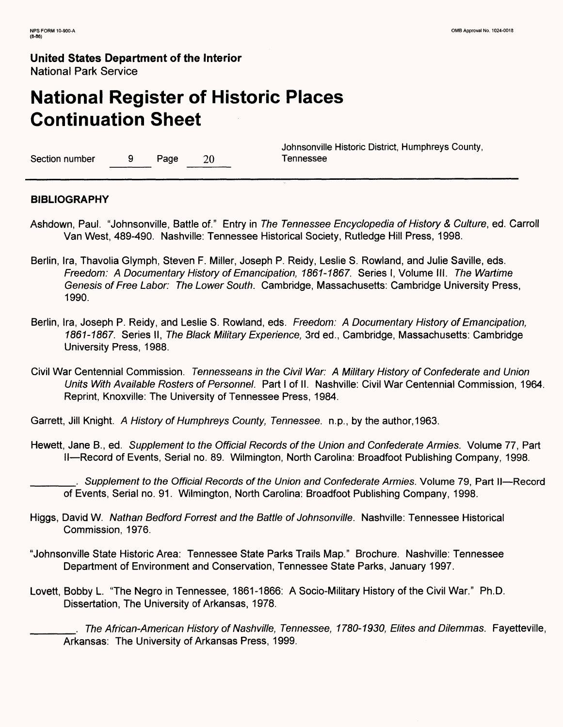# **National Register of Historic Places Continuation Sheet**

Section number 9 Page 20 Tennessee

Johnsonville Historic District, Humphreys County,

#### **BIBLIOGRAPHY**

- Ashdown, Paul. "Johnsonville, Battle of." Entry in The Tennessee Encyclopedia of History & Culture, ed. Carroll Van West, 489-490. Nashville: Tennessee Historical Society, Rutledge Hill Press, 1998.
- Berlin, Ira, Thavolia Glymph, Steven F. Miller, Joseph P. Reidy, Leslie S. Rowland, and Julie Saville, eds. Freedom: A Documentary History of Emancipation, 1861-1867. Series I, Volume III. The Wartime Genesis of Free Labor: The Lower South. Cambridge, Massachusetts: Cambridge University Press, 1990.
- Berlin, Ira, Joseph P. Reidy, and Leslie S. Rowland, eds. Freedom: A Documentary History of Emancipation, 1861-1867. Series II, The Black Military Experience, 3rd ed., Cambridge, Massachusetts: Cambridge University Press, 1988.
- Civil War Centennial Commission. Tennesseans in the Civil War: A Military History of Confederate and Union Units With Available Rosters of Personnel. Part I of II. Nashville: Civil War Centennial Commission, 1964. Reprint, Knoxville: The University of Tennessee Press, 1984.

Garrett, Jill Knight. A History of Humphreys County, Tennessee, n.p., by the author, 1963.

Hewett, Jane B., ed. Supplement to the Official Records of the Union and Confederate Armies. Volume 77, Part II — Record of Events, Serial no. 89. Wilmington, North Carolina: Broadfoot Publishing Company, 1998.

Supplement to the Official Records of the Union and Confederate Armies. Volume 79, Part II—Record of Events, Serial no. 91. Wilmington, North Carolina: Broadfoot Publishing Company, 1998.

- Higgs, David W. Nathan Bedford Forrest and the Battle of Johnsonville. Nashville: Tennessee Historical Commission, 1976.
- "Johnsonville State Historic Area: Tennessee State Parks Trails Map." Brochure. Nashville: Tennessee Department of Environment and Conservation, Tennessee State Parks, January 1997.
- Lovett, Bobby L. "The Negro in Tennessee, 1861-1866: A Socio-Military History of the Civil War." Ph.D. Dissertation, The University of Arkansas, 1978.

The African-American History of Nashville, Tennessee, 1780-1930, Elites and Dilemmas. Fayetteville, Arkansas: The University of Arkansas Press, 1999.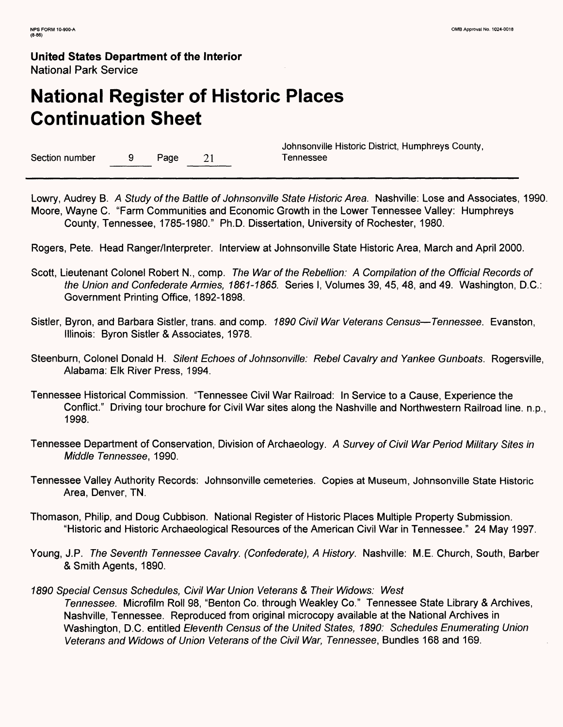# **National Register of Historic Places Continuation Sheet**

Section number 9 Page 21 Tennessee

Johnsonville Historic District, Humphreys County,

Lowry, Audrey B. A Study of the Battle of Johnsonville State Historic Area. Nashville: Lose and Associates, 1990. Moore, Wayne C. "Farm Communities and Economic Growth in the Lower Tennessee Valley: Humphreys County, Tennessee, 1785-1980." Ph.D. Dissertation, University of Rochester, 1980.

Rogers, Pete. Head Ranger/Interpreter. Interview at Johnsonville State Historic Area, March and April 2000.

- Scott, Lieutenant Colonel Robert N., comp. The War of the Rebellion: A Compilation of the Official Records of the Union and Confederate Armies, 1861-1865. Series I, Volumes 39, 45, 48, and 49. Washington, D.C.: Government Printing Office, 1892-1898.
- Sistler, Byron, and Barbara Sistler, trans. and comp. 7890 Civil War Veterans Census—Tennessee. Evanston, Illinois: Byron Sistler & Associates, 1978.
- Steenburn, Colonel Donald H. Silent Echoes of Johnsonville: Rebel Cavalry and Yankee Gunboats. Rogersville, Alabama: Elk River Press, 1994.
- Tennessee Historical Commission. "Tennessee Civil War Railroad: In Service to a Cause, Experience the Conflict." Driving tour brochure for Civil War sites along the Nashville and Northwestern Railroad line, n.p., 1998.
- Tennessee Department of Conservation, Division of Archaeology. A Survey of Civil War Period Military Sites in Middle Tennessee, 1990.
- Tennessee Valley Authority Records: Johnsonville cemeteries. Copies at Museum, Johnsonville State Historic Area, Denver, TN.
- Thomason, Philip, and Doug Cubbison. National Register of Historic Places Multiple Property Submission. "Historic and Historic Archaeological Resources of the American Civil War in Tennessee." 24 May 1997.
- Young, J.P. The Seventh Tennessee Cavalry. (Confederate), A History. Nashville: M.E. Church, South, Barber & Smith Agents, 1890.
- 1890 Special Census Schedules, Civil War Union Veterans & Their Widows: West Tennessee. Microfilm Roll 98, "Benton Co. through Weakley Co." Tennessee State Library & Archives, Nashville, Tennessee. Reproduced from original microcopy available at the National Archives in Washington, D.C. entitled Eleventh Census of the United States, 1890: Schedules Enumerating Union Veterans and Widows of Union Veterans of the Civil War, Tennessee, Bundles 168 and 169.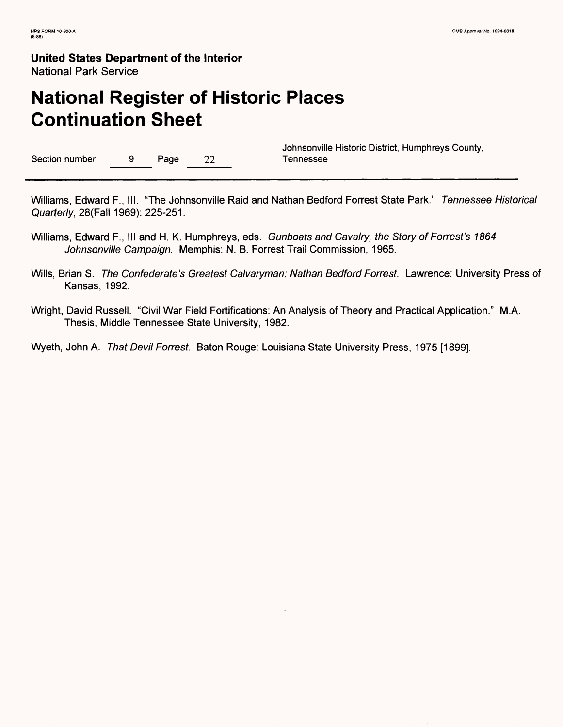# **National Register of Historic Places Continuation Sheet**

Section number 9 Page 22 Tennessee

Johnsonville Historic District, Humphreys County,

Williams, Edward F., III. "The Johnsonville Raid and Nathan Bedford Forrest State Park." Tennessee Historical Quarterly, 28(Fall 1969): 225-251.

- Williams, Edward F., III and H. K. Humphreys, eds. Gunboats and Cavalry, the Story of Forrest's 1864 Johnsonville Campaign. Memphis: N. B. Forrest Trail Commission, 1965.
- Wills, Brian S. The Confederate's Greatest Calvaryman: Nathan Bedford Forrest. Lawrence: University Press of Kansas, 1992.
- Wright, David Russell. "Civil War Field Fortifications: An Analysis of Theory and Practical Application." M.A. Thesis, Middle Tennessee State University, 1982.

Wyeth, John A. That Devil Forrest. Baton Rouge: Louisiana State University Press, 1975 [1899].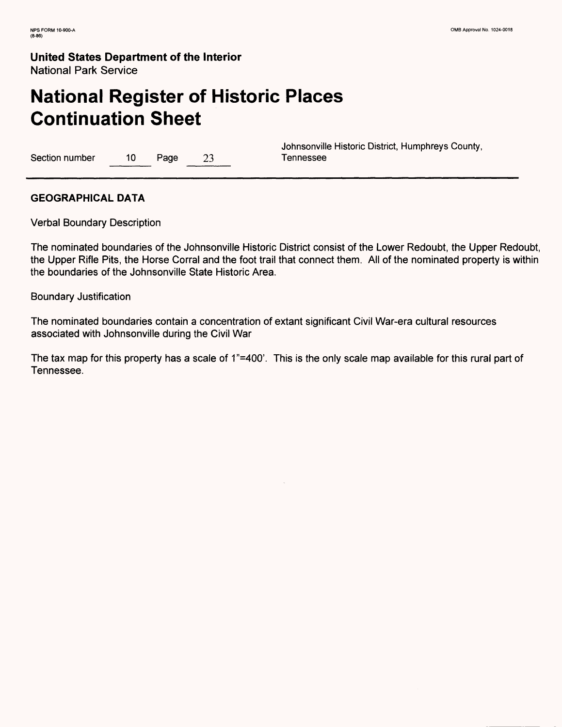# **National Register of Historic Places Continuation Sheet**

Section number 10 Page 23 Tennessee

Johnsonville Historic District, Humphreys County,

#### **GEOGRAPHICAL DATA**

Verbal Boundary Description

The nominated boundaries of the Johnsonville Historic District consist of the Lower Redoubt, the Upper Redoubt, the Upper Rifle Pits, the Horse Corral and the foot trail that connect them. All of the nominated property is within the boundaries of the Johnsonville State Historic Area.

Boundary Justification

The nominated boundaries contain a concentration of extant significant Civil War-era cultural resources associated with Johnsonville during the Civil War

The tax map for this property has a scale of 1"=400'. This is the only scale map available for this rural part of Tennessee.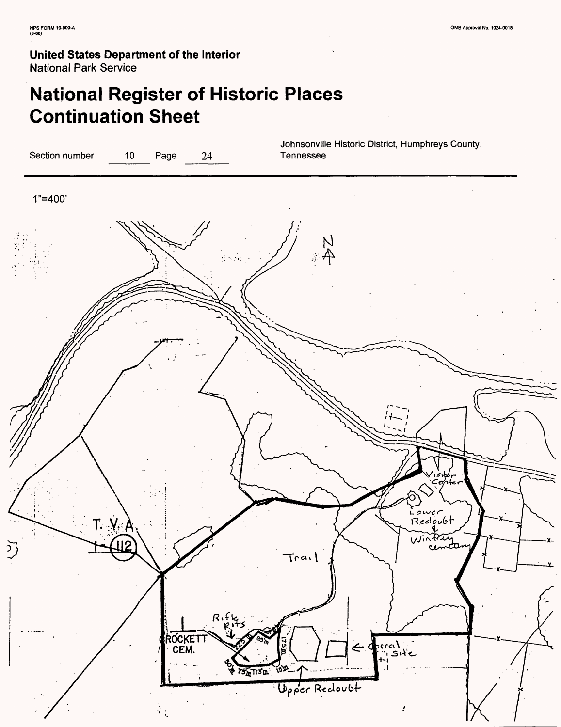# **National Register of Historic Places Continuation Sheet**

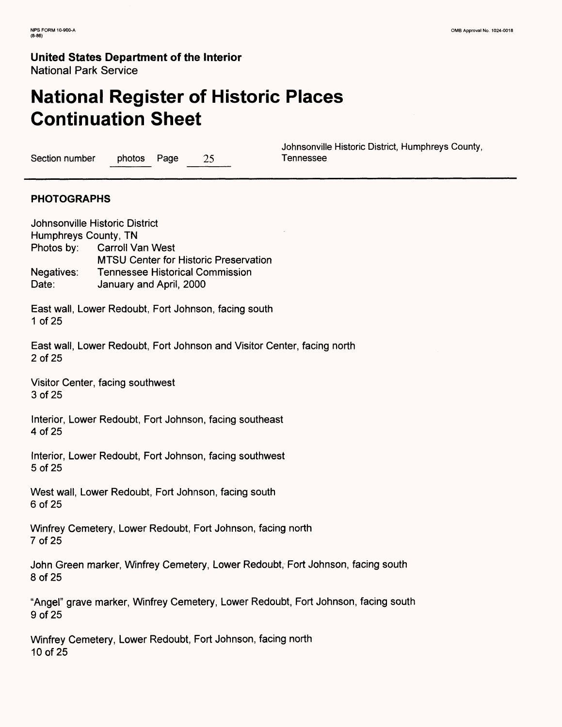# **National Register of Historic Places Continuation Sheet**

Section number photos Page 25 Tennessee

Johnsonville Historic District, Humphreys County,

#### **PHOTOGRAPHS**

Johnsonville Historic District Humphreys County, TN Photos by: Carroll Van West MTSU Center for Historic Preservation Negatives: Tennessee Historical Commission Date: **January and April, 2000** East wall, Lower Redoubt, Fort Johnson, facing south 1 of 25 East wall, Lower Redoubt, Fort Johnson and Visitor Center, facing north 2 of 25 Visitor Center, facing southwest 3 of 25 Interior, Lower Redoubt, Fort Johnson, facing southeast 4 of 25 Interior, Lower Redoubt, Fort Johnson, facing southwest 5 of 25 West wall, Lower Redoubt, Fort Johnson, facing south 6 of 25 Winfrey Cemetery, Lower Redoubt, Fort Johnson, facing north 7 of 25 John Green marker, Winfrey Cemetery, Lower Redoubt, Fort Johnson, facing south 8 of 25 "Angel" grave marker, Winfrey Cemetery, Lower Redoubt, Fort Johnson, facing south 9 of 25 Winfrey Cemetery, Lower Redoubt, Fort Johnson, facing north 10 of 25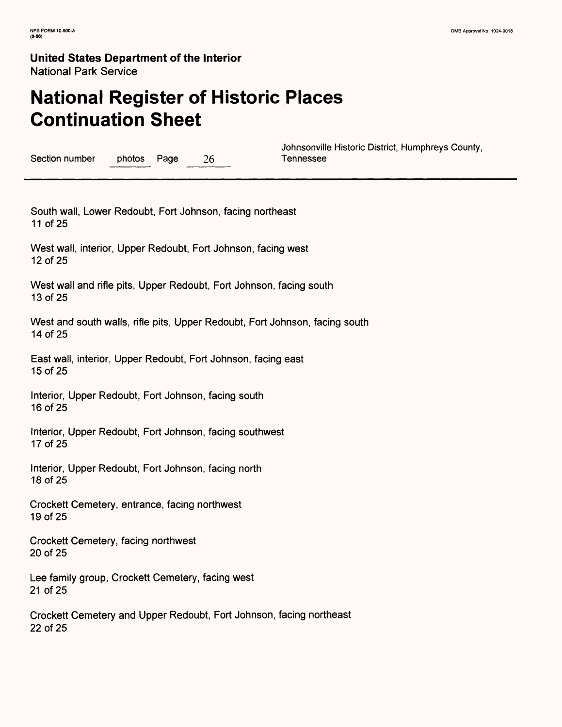# **National Register of Historic Places Continuation Sheet**

Section number photos Page 26 Tennessee

Johnsonville Historic District, Humphreys County,

South wall, Lower Redoubt, Fort Johnson, facing northeast 11 of 25

West wall, interior, Upper Redoubt, Fort Johnson, facing west 12 of 25

West wall and rifle pits, Upper Redoubt, Fort Johnson, facing south 13 of 25

West and south walls, rifle pits, Upper Redoubt, Fort Johnson, facing south 14 of 25

East wall, interior, Upper Redoubt, Fort Johnson, facing east 15 of 25

Interior, Upper Redoubt, Fort Johnson, facing south 16 of 25

Interior, Upper Redoubt, Fort Johnson, facing southwest 17 of 25

Interior, Upper Redoubt, Fort Johnson, facing north 18 of 25

Crockett Cemetery, entrance, facing northwest 19 of 25

Crockett Cemetery, facing northwest 20 of 25

Lee family group, Crockett Cemetery, facing west 21 of 25

Crockett Cemetery and Upper Redoubt, Fort Johnson, facing northeast 22 of 25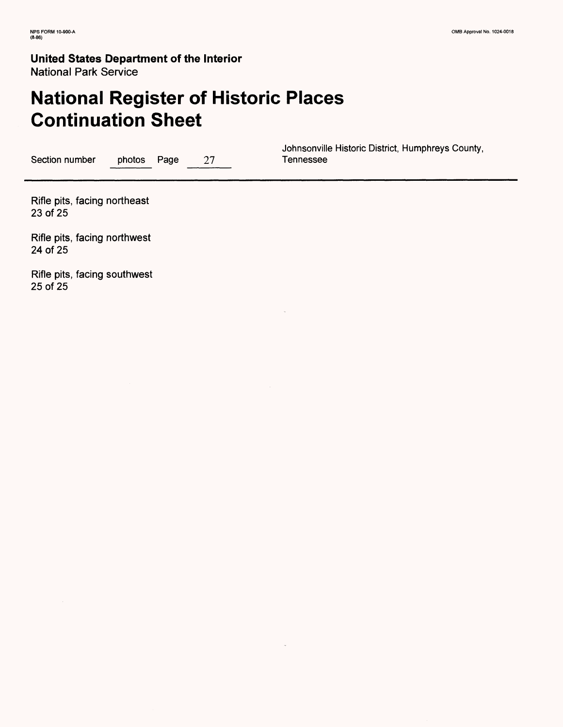## **United States Department of the Interior**

National Park Service

# **National Register of Historic Places Continuation Sheet**

Section number photos Page 27

Johnsonville Historic District, Humphreys County,

Rifle pits, facing northeast 23 of 25

Rifle pits, facing northwest 24 of 25

Rifle pits, facing southwest 25 of 25